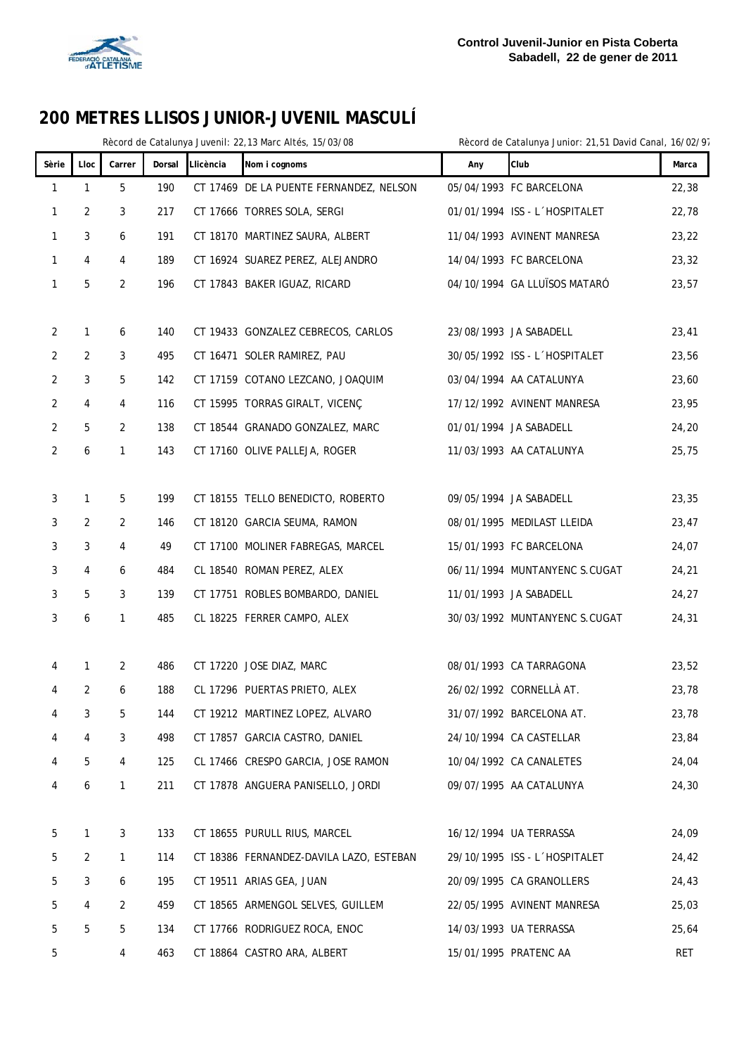

|                |                |                |        |           | Rècord de Catalunya Juvenil: 22,13 Marc Altés, 15/03/08 |     | Rècord de Catalunya Junior: 21,51 David Canal, 16/02/97 |            |
|----------------|----------------|----------------|--------|-----------|---------------------------------------------------------|-----|---------------------------------------------------------|------------|
| Sèrie          | Lloc           | Carrer         | Dorsal | Llicència | Nom i cognoms                                           | Any | Club                                                    | Marca      |
| $\mathbf{1}$   | $\mathbf{1}$   | 5              | 190    |           | CT 17469 DE LA PUENTE FERNANDEZ, NELSON                 |     | 05/04/1993 FC BARCELONA                                 | 22,38      |
| $\mathbf{1}$   | 2              | 3              | 217    |           | CT 17666 TORRES SOLA, SERGI                             |     | 01/01/1994 ISS - L'HOSPITALET                           | 22,78      |
| 1              | 3              | 6              | 191    |           | CT 18170 MARTINEZ SAURA, ALBERT                         |     | 11/04/1993 AVINENT MANRESA                              | 23,22      |
| $\mathbf{1}$   | 4              | 4              | 189    |           | CT 16924 SUAREZ PEREZ, ALEJANDRO                        |     | 14/04/1993 FC BARCELONA                                 | 23,32      |
| $\mathbf{1}$   | 5              | $\overline{2}$ | 196    |           | CT 17843 BAKER IGUAZ, RICARD                            |     | 04/10/1994 GA LLUÏSOS MATARÓ                            | 23,57      |
|                |                |                |        |           |                                                         |     |                                                         |            |
| $\overline{2}$ | 1              | 6              | 140    |           | CT 19433 GONZALEZ CEBRECOS, CARLOS                      |     | 23/08/1993 JA SABADELL                                  | 23,41      |
| $\overline{2}$ | 2              | 3              | 495    |           | CT 16471 SOLER RAMIREZ, PAU                             |     | 30/05/1992 ISS - L'HOSPITALET                           | 23,56      |
| $\overline{2}$ | 3              | 5              | 142    |           | CT 17159 COTANO LEZCANO, JOAQUIM                        |     | 03/04/1994 AA CATALUNYA                                 | 23,60      |
| $\overline{2}$ | 4              | 4              | 116    |           | CT 15995 TORRAS GIRALT, VICENÇ                          |     | 17/12/1992 AVINENT MANRESA                              | 23,95      |
| $\overline{2}$ | 5              | 2              | 138    |           | CT 18544 GRANADO GONZALEZ, MARC                         |     | 01/01/1994 JA SABADELL                                  | 24,20      |
| $\overline{2}$ | 6              | $\mathbf{1}$   | 143    |           | CT 17160 OLIVE PALLEJA, ROGER                           |     | 11/03/1993 AA CATALUNYA                                 | 25,75      |
|                |                |                |        |           |                                                         |     |                                                         |            |
| 3              | 1              | 5              | 199    |           | CT 18155 TELLO BENEDICTO, ROBERTO                       |     | 09/05/1994 JA SABADELL                                  | 23,35      |
| 3              | 2              | 2              | 146    |           | CT 18120 GARCIA SEUMA, RAMON                            |     | 08/01/1995 MEDILAST LLEIDA                              | 23,47      |
| 3              | 3              | 4              | 49     |           | CT 17100 MOLINER FABREGAS, MARCEL                       |     | 15/01/1993 FC BARCELONA                                 | 24,07      |
| 3              | 4              | 6              | 484    |           | CL 18540 ROMAN PEREZ, ALEX                              |     | 06/11/1994 MUNTANYENC S.CUGAT                           | 24,21      |
| 3              | 5              | 3              | 139    |           | CT 17751 ROBLES BOMBARDO, DANIEL                        |     | 11/01/1993 JA SABADELL                                  | 24,27      |
| 3              | 6              | $\mathbf{1}$   | 485    |           | CL 18225 FERRER CAMPO, ALEX                             |     | 30/03/1992 MUNTANYENC S.CUGAT                           | 24,31      |
|                |                |                |        |           |                                                         |     |                                                         |            |
| 4              | 1              | 2              | 486    |           | CT 17220 JOSE DIAZ, MARC                                |     | 08/01/1993 CA TARRAGONA                                 | 23,52      |
| 4              | $\overline{2}$ | 6              | 188    |           | CL 17296 PUERTAS PRIETO, ALEX                           |     | 26/02/1992 CORNELLÀ AT.                                 | 23,78      |
| 4              | 3              | 5              | 144    |           | CT 19212 MARTINEZ LOPEZ, ALVARO                         |     | 31/07/1992 BARCELONA AT.                                | 23,78      |
| 4              | 4              | 3              | 498    |           | CT 17857 GARCIA CASTRO, DANIEL                          |     | 24/10/1994 CA CASTELLAR                                 | 23,84      |
| 4              | 5              | 4              | 125    |           | CL 17466 CRESPO GARCIA, JOSE RAMON                      |     | 10/04/1992 CA CANALETES                                 | 24,04      |
| 4              | 6              | 1              | 211    |           | CT 17878 ANGUERA PANISELLO, JORDI                       |     | 09/07/1995 AA CATALUNYA                                 | 24,30      |
|                |                |                |        |           |                                                         |     |                                                         |            |
| 5              | 1              | 3              | 133    |           | CT 18655 PURULL RIUS, MARCEL                            |     | 16/12/1994 UA TERRASSA                                  | 24,09      |
| 5              | 2              | $\mathbf{1}$   | 114    |           | CT 18386 FERNANDEZ-DAVILA LAZO, ESTEBAN                 |     | 29/10/1995 ISS - L'HOSPITALET                           | 24,42      |
| 5              | 3              | 6              | 195    |           | CT 19511 ARIAS GEA, JUAN                                |     | 20/09/1995 CA GRANOLLERS                                | 24,43      |
| 5              | 4              | 2              | 459    |           | CT 18565 ARMENGOL SELVES, GUILLEM                       |     | 22/05/1995 AVINENT MANRESA                              | 25,03      |
| 5              | 5              | 5              | 134    |           | CT 17766 RODRIGUEZ ROCA, ENOC                           |     | 14/03/1993 UA TERRASSA                                  | 25,64      |
| 5              |                | 4              | 463    |           | CT 18864 CASTRO ARA, ALBERT                             |     | 15/01/1995 PRATENC AA                                   | <b>RET</b> |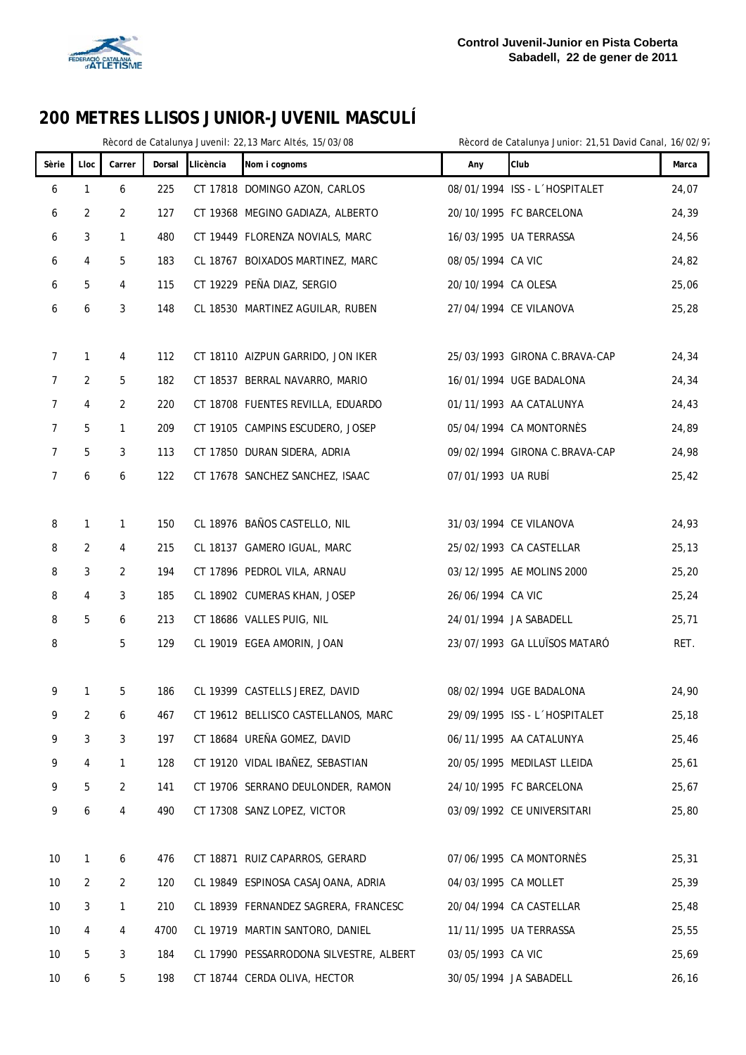

|                |      |                |        |           | Rècord de Catalunya Juvenil: 22,13 Marc Altés, 15/03/08 |                      | Rècord de Catalunya Junior: 21,51 David Canal, 16/02/97 |        |
|----------------|------|----------------|--------|-----------|---------------------------------------------------------|----------------------|---------------------------------------------------------|--------|
| Sèrie          | Lloc | Carrer         | Dorsal | Llicència | Nom i cognoms                                           | Any                  | Club                                                    | Marca  |
| 6              | 1    | 6              | 225    |           | CT 17818 DOMINGO AZON, CARLOS                           |                      | 08/01/1994 ISS - L'HOSPITALET                           | 24,07  |
| 6              | 2    | 2              | 127    |           | CT 19368 MEGINO GADIAZA, ALBERTO                        |                      | 20/10/1995 FC BARCELONA                                 | 24,39  |
| 6              | 3    | $\mathbf{1}$   | 480    |           | CT 19449 FLORENZA NOVIALS, MARC                         |                      | 16/03/1995 UA TERRASSA                                  | 24,56  |
| 6              | 4    | 5              | 183    |           | CL 18767 BOIXADOS MARTINEZ, MARC                        | 08/05/1994 CA VIC    |                                                         | 24,82  |
| 6              | 5    | 4              | 115    |           | CT 19229 PEÑA DIAZ, SERGIO                              | 20/10/1994 CA OLESA  |                                                         | 25,06  |
| 6              | 6    | 3              | 148    |           | CL 18530 MARTINEZ AGUILAR, RUBEN                        |                      | 27/04/1994 CE VILANOVA                                  | 25,28  |
|                |      |                |        |           |                                                         |                      |                                                         |        |
| 7              | 1    | 4              | 112    |           | CT 18110 AIZPUN GARRIDO, JON IKER                       |                      | 25/03/1993 GIRONA C.BRAVA-CAP                           | 24,34  |
| $\overline{7}$ | 2    | 5              | 182    |           | CT 18537 BERRAL NAVARRO, MARIO                          |                      | 16/01/1994 UGE BADALONA                                 | 24,34  |
| $\overline{7}$ | 4    | 2              | 220    |           | CT 18708 FUENTES REVILLA, EDUARDO                       |                      | 01/11/1993 AA CATALUNYA                                 | 24,43  |
| 7              | 5    | $\mathbf{1}$   | 209    |           | CT 19105 CAMPINS ESCUDERO, JOSEP                        |                      | 05/04/1994 CA MONTORNÈS                                 | 24,89  |
| 7              | 5    | 3              | 113    |           | CT 17850 DURAN SIDERA, ADRIA                            |                      | 09/02/1994 GIRONA C.BRAVA-CAP                           | 24,98  |
| $\overline{7}$ | 6    | 6              | 122    |           | CT 17678 SANCHEZ SANCHEZ, ISAAC                         | 07/01/1993 UA RUBÍ   |                                                         | 25,42  |
|                |      |                |        |           |                                                         |                      |                                                         |        |
| 8              | 1    | 1              | 150    |           | CL 18976 BAÑOS CASTELLO, NIL                            |                      | 31/03/1994 CE VILANOVA                                  | 24,93  |
| 8              | 2    | 4              | 215    |           | CL 18137 GAMERO IGUAL, MARC                             |                      | 25/02/1993 CA CASTELLAR                                 | 25, 13 |
| 8              | 3    | 2              | 194    |           | CT 17896 PEDROL VILA, ARNAU                             |                      | 03/12/1995 AE MOLINS 2000                               | 25,20  |
| 8              | 4    | 3              | 185    |           | CL 18902 CUMERAS KHAN, JOSEP                            | 26/06/1994 CA VIC    |                                                         | 25,24  |
| 8              | 5    | 6              | 213    |           | CT 18686 VALLES PUIG, NIL                               |                      | 24/01/1994 JA SABADELL                                  | 25,71  |
| 8              |      | 5              | 129    |           | CL 19019 EGEA AMORIN, JOAN                              |                      | 23/07/1993 GA LLUÏSOS MATARÓ                            | RET.   |
|                |      |                |        |           |                                                         |                      |                                                         |        |
| 9              | 1    | 5              | 186    |           | CL 19399 CASTELLS JEREZ, DAVID                          |                      | 08/02/1994 UGE BADALONA                                 | 24,90  |
| 9              | 2    | 6              | 467    |           | CT 19612 BELLISCO CASTELLANOS, MARC                     |                      | 29/09/1995 ISS - L'HOSPITALET                           | 25,18  |
| 9              | 3    | 3              | 197    |           | CT 18684 UREÑA GOMEZ, DAVID                             |                      | 06/11/1995 AA CATALUNYA                                 | 25,46  |
| 9              | 4    | $\mathbf{1}$   | 128    |           | CT 19120 VIDAL IBAÑEZ, SEBASTIAN                        |                      | 20/05/1995 MEDILAST LLEIDA                              | 25,61  |
| 9              | 5    | 2              | 141    |           | CT 19706 SERRANO DEULONDER, RAMON                       |                      | 24/10/1995 FC BARCELONA                                 | 25,67  |
| 9              | 6    | 4              | 490    |           | CT 17308 SANZ LOPEZ, VICTOR                             |                      | 03/09/1992 CE UNIVERSITARI                              | 25,80  |
|                |      |                |        |           |                                                         |                      |                                                         |        |
| $10$           | 1    | 6              | 476    |           | CT 18871 RUIZ CAPARROS, GERARD                          |                      | 07/06/1995 CA MONTORNÈS                                 | 25,31  |
| 10             | 2    | $\overline{2}$ | 120    |           | CL 19849 ESPINOSA CASAJOANA, ADRIA                      | 04/03/1995 CA MOLLET |                                                         | 25,39  |
| 10             | 3    | $\mathbf{1}$   | 210    |           | CL 18939 FERNANDEZ SAGRERA, FRANCESC                    |                      | 20/04/1994 CA CASTELLAR                                 | 25,48  |
| 10             | 4    | 4              | 4700   |           | CL 19719 MARTIN SANTORO, DANIEL                         |                      | 11/11/1995 UA TERRASSA                                  | 25,55  |
| 10             | 5    | 3              | 184    |           | CL 17990 PESSARRODONA SILVESTRE, ALBERT                 | 03/05/1993 CA VIC    |                                                         | 25,69  |
| 10             | 6    | 5              | 198    |           | CT 18744 CERDA OLIVA, HECTOR                            |                      | 30/05/1994 JA SABADELL                                  | 26,16  |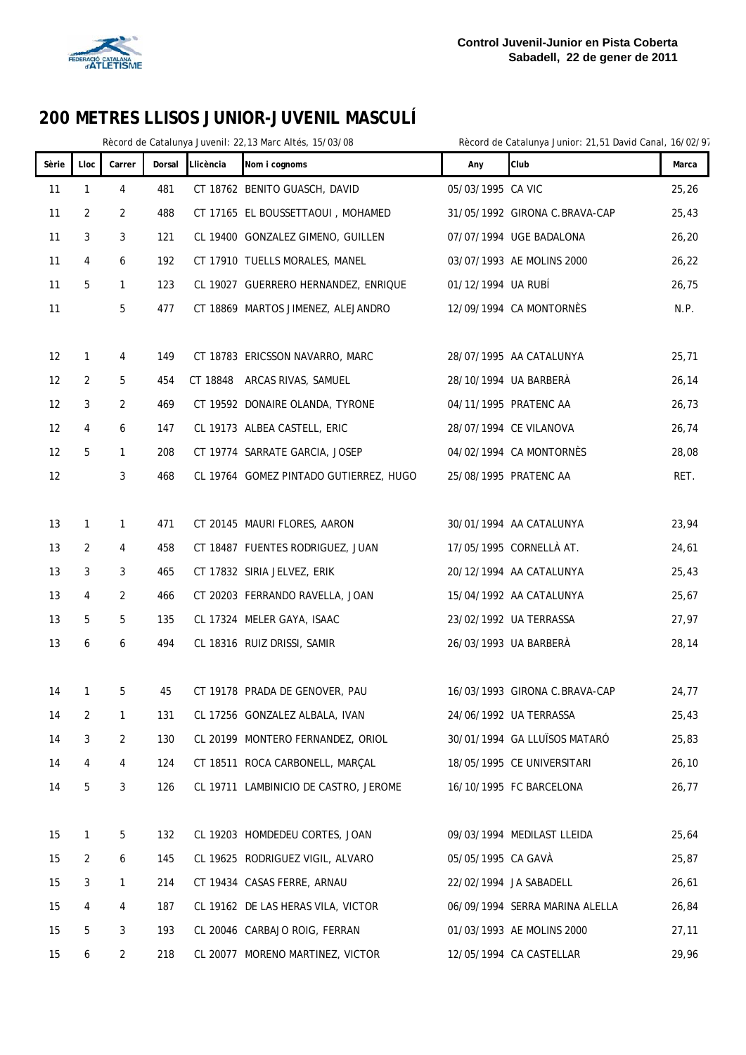

|       |              | Rècord de Catalunya Juvenil: 22,13 Marc Altés, 15/03/08 |        | Rècord de Catalunya Junior: 21,51 David Canal, 16/02/97 |                                        |                    |                                |        |
|-------|--------------|---------------------------------------------------------|--------|---------------------------------------------------------|----------------------------------------|--------------------|--------------------------------|--------|
| Sèrie | Lloc         | Carrer                                                  | Dorsal | Llicència                                               | Nom i cognoms                          | Any                | Club                           | Marca  |
| 11    | 1            | 4                                                       | 481    |                                                         | CT 18762 BENITO GUASCH, DAVID          | 05/03/1995 CA VIC  |                                | 25,26  |
| 11    | 2            | 2                                                       | 488    |                                                         | CT 17165 EL BOUSSETTAOUI, MOHAMED      |                    | 31/05/1992 GIRONA C.BRAVA-CAP  | 25,43  |
| 11    | 3            | 3                                                       | 121    |                                                         | CL 19400 GONZALEZ GIMENO, GUILLEN      |                    | 07/07/1994 UGE BADALONA        | 26, 20 |
| 11    | 4            | 6                                                       | 192    |                                                         | CT 17910 TUELLS MORALES, MANEL         |                    | 03/07/1993 AE MOLINS 2000      | 26, 22 |
| 11    | 5            | $\mathbf{1}$                                            | 123    |                                                         | CL 19027 GUERRERO HERNANDEZ, ENRIQUE   | 01/12/1994 UA RUBÍ |                                | 26,75  |
| 11    |              | 5                                                       | 477    |                                                         | CT 18869 MARTOS JIMENEZ, ALEJANDRO     |                    | 12/09/1994 CA MONTORNÈS        | N.P.   |
|       |              |                                                         |        |                                                         |                                        |                    |                                |        |
| 12    | $\mathbf{1}$ | 4                                                       | 149    |                                                         | CT 18783 ERICSSON NAVARRO, MARC        |                    | 28/07/1995 AA CATALUNYA        | 25,71  |
| 12    | 2            | 5                                                       | 454    |                                                         | CT 18848 ARCAS RIVAS, SAMUEL           |                    | 28/10/1994 UA BARBERÀ          | 26, 14 |
| 12    | 3            | 2                                                       | 469    |                                                         | CT 19592 DONAIRE OLANDA, TYRONE        |                    | 04/11/1995 PRATENC AA          | 26,73  |
| 12    | 4            | 6                                                       | 147    |                                                         | CL 19173 ALBEA CASTELL, ERIC           |                    | 28/07/1994 CE VILANOVA         | 26,74  |
| 12    | 5            | 1                                                       | 208    |                                                         | CT 19774 SARRATE GARCIA, JOSEP         |                    | 04/02/1994 CA MONTORNÈS        | 28,08  |
| 12    |              | 3                                                       | 468    |                                                         | CL 19764 GOMEZ PINTADO GUTIERREZ, HUGO |                    | 25/08/1995 PRATENC AA          | RET.   |
|       |              |                                                         |        |                                                         |                                        |                    |                                |        |
| 13    | 1            | 1                                                       | 471    |                                                         | CT 20145 MAURI FLORES, AARON           |                    | 30/01/1994 AA CATALUNYA        | 23,94  |
| 13    | 2            | 4                                                       | 458    |                                                         | CT 18487 FUENTES RODRIGUEZ, JUAN       |                    | 17/05/1995 CORNELLÀ AT.        | 24,61  |
| 13    | 3            | 3                                                       | 465    |                                                         | CT 17832 SIRIA JELVEZ, ERIK            |                    | 20/12/1994 AA CATALUNYA        | 25,43  |
| 13    | 4            | 2                                                       | 466    |                                                         | CT 20203 FERRANDO RAVELLA, JOAN        |                    | 15/04/1992 AA CATALUNYA        | 25,67  |
| 13    | 5            | 5                                                       | 135    |                                                         | CL 17324 MELER GAYA, ISAAC             |                    | 23/02/1992 UA TERRASSA         | 27,97  |
| 13    | 6            | 6                                                       | 494    |                                                         | CL 18316 RUIZ DRISSI, SAMIR            |                    | 26/03/1993 UA BARBERÀ          | 28,14  |
|       |              |                                                         |        |                                                         |                                        |                    |                                |        |
| 14    | $\mathbf{1}$ | 5                                                       | 45     |                                                         | CT 19178 PRADA DE GENOVER, PAU         |                    | 16/03/1993 GIRONA C.BRAVA-CAP  | 24,77  |
| 14    | 2            | 1                                                       | 131    |                                                         | CL 17256 GONZALEZ ALBALA, IVAN         |                    | 24/06/1992 UA TERRASSA         | 25,43  |
| 14    | 3            | $\overline{2}$                                          | 130    |                                                         | CL 20199 MONTERO FERNANDEZ, ORIOL      |                    | 30/01/1994 GA LLUÏSOS MATARÓ   | 25,83  |
| 14    | 4            | 4                                                       | 124    |                                                         | CT 18511 ROCA CARBONELL, MARÇAL        |                    | 18/05/1995 CE UNIVERSITARI     | 26, 10 |
| 14    | 5            | 3                                                       | 126    |                                                         | CL 19711 LAMBINICIO DE CASTRO, JEROME  |                    | 16/10/1995 FC BARCELONA        | 26,77  |
|       |              |                                                         |        |                                                         |                                        |                    |                                |        |
| 15    | 1            | 5                                                       | 132    |                                                         | CL 19203 HOMDEDEU CORTES, JOAN         |                    | 09/03/1994 MEDILAST LLEIDA     | 25,64  |
| 15    | 2            | 6                                                       | 145    |                                                         | CL 19625 RODRIGUEZ VIGIL, ALVARO       | 05/05/1995 CA GAVÀ |                                | 25,87  |
| 15    | 3            | 1                                                       | 214    |                                                         | CT 19434 CASAS FERRE, ARNAU            |                    | 22/02/1994 JA SABADELL         | 26,61  |
| 15    | 4            | 4                                                       | 187    |                                                         | CL 19162 DE LAS HERAS VILA, VICTOR     |                    | 06/09/1994 SERRA MARINA ALELLA | 26,84  |
| 15    | 5            | 3                                                       | 193    |                                                         | CL 20046 CARBAJO ROIG, FERRAN          |                    | 01/03/1993 AE MOLINS 2000      | 27,11  |
| 15    | 6            | $\overline{2}$                                          | 218    |                                                         | CL 20077 MORENO MARTINEZ, VICTOR       |                    | 12/05/1994 CA CASTELLAR        | 29,96  |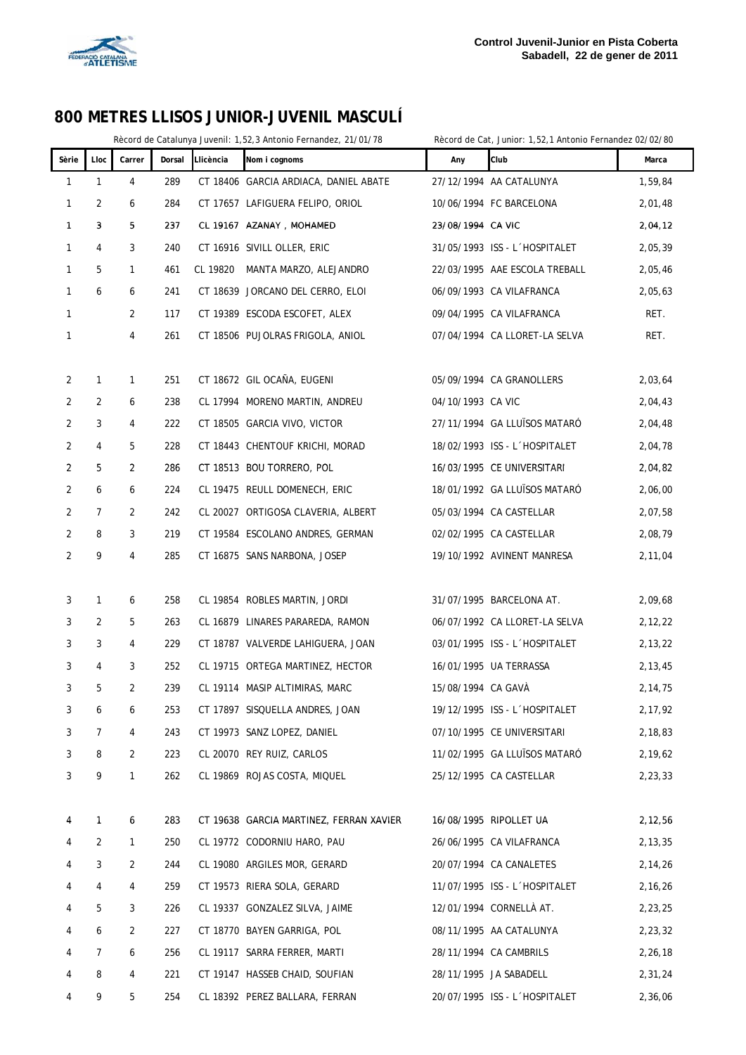

I

#### **800 METRES LLISOS JUNIOR-JUVENIL MASCULÍ**

Rècord de Catalunya Juvenil: 1,52,3 Antonio Fernandez, 21/01/78 Rècord de Cat, Junior: 1,52,1 Antonio Fernandez 02/02/80

| 27/12/1994 AA CATALUNYA<br>1,59,84<br>1<br>1<br>4<br>289<br>CT 18406 GARCIA ARDIACA, DANIEL ABATE<br>2<br>6<br>284<br>CT 17657 LAFIGUERA FELIPO, ORIOL<br>10/06/1994 FC BARCELONA<br>2,01,48<br>$\mathbf{1}$<br>5<br>237<br>CL 19167 AZANAY, MOHAMED<br>1<br>3<br>23/08/1994 CA VIC<br>2,04,12<br>4<br>3<br>240<br>CT 16916 SIVILL OLLER, ERIC<br>31/05/1993 ISS - L'HOSPITALET<br>2,05,39<br>1<br>5<br>$\mathbf{1}$<br>461<br>CL 19820<br>MANTA MARZO, ALEJANDRO<br>22/03/1995 AAE ESCOLA TREBALL<br>2,05,46<br>1<br>6<br>6<br>241<br>CT 18639 JORCANO DEL CERRO, ELOI<br>06/09/1993 CA VILAFRANCA<br>2,05,63<br>1<br>2<br>CT 19389 ESCODA ESCOFET, ALEX<br>09/04/1995 CA VILAFRANCA<br>RET.<br>1<br>117<br>RET.<br>4<br>261<br>CT 18506 PUJOLRAS FRIGOLA, ANIOL<br>07/04/1994 CA LLORET-LA SELVA<br>$\mathbf{1}$<br>251<br>CT 18672 GIL OCAÑA, EUGENI<br>05/09/1994 CA GRANOLLERS<br>2,03,64<br>2<br>$\mathbf{1}$<br>1<br>04/10/1993 CA VIC<br>2<br>2<br>6<br>238<br>CL 17994 MORENO MARTIN, ANDREU<br>2,04,43<br>2<br>3<br>4<br>222<br>CT 18505 GARCIA VIVO, VICTOR<br>27/11/1994 GA LLUISOS MATARO<br>2,04,48<br>4<br>5<br>2<br>228<br>CT 18443 CHENTOUF KRICHI, MORAD<br>18/02/1993 ISS - L'HOSPITALET<br>2,04,78<br>286<br>2<br>5<br>2<br>CT 18513 BOU TORRERO, POL<br>16/03/1995 CE UNIVERSITARI<br>2,04,82<br>6<br>224<br>18/01/1992 GA LLUÏSOS MATARÓ<br>2<br>6<br>CL 19475 REULL DOMENECH, ERIC<br>2,06,00<br>2<br>2<br>7<br>242<br>CL 20027 ORTIGOSA CLAVERIA, ALBERT<br>05/03/1994 CA CASTELLAR<br>2,07,58<br>219<br>2<br>8<br>3<br>CT 19584 ESCOLANO ANDRES, GERMAN<br>02/02/1995 CA CASTELLAR<br>2,08,79<br>2<br>9<br>285<br>CT 16875 SANS NARBONA, JOSEP<br>19/10/1992 AVINENT MANRESA<br>4<br>2,11,04<br>258<br>3<br>$\mathbf{1}$<br>6<br>CL 19854 ROBLES MARTIN, JORDI<br>31/07/1995 BARCELONA AT.<br>2,09,68<br>5<br>3<br>2<br>263<br>CL 16879 LINARES PARAREDA, RAMON<br>06/07/1992 CA LLORET-LA SELVA<br>2,12,22<br>3<br>2,13,22<br>3<br>4<br>229<br>CT 18787 VALVERDE LAHIGUERA, JOAN<br>03/01/1995 ISS - L'HOSPITALET<br>3<br>4<br>3<br>252<br>CL 19715 ORTEGA MARTINEZ, HECTOR<br>16/01/1995 UA TERRASSA<br>2,13,45<br>3<br>5<br>2<br>239<br>15/08/1994 CA GAVÀ<br>CL 19114 MASIP ALTIMIRAS, MARC<br>2,14,75<br>253<br>CT 17897 SISQUELLA ANDRES, JOAN<br>19/12/1995 ISS - L'HOSPITALET<br>2, 17, 92<br>3<br>6<br>6<br>3<br>243<br>CT 19973 SANZ LOPEZ, DANIEL<br>07/10/1995 CE UNIVERSITARI<br>2,18,83<br>7<br>4<br>223<br>2,19,62<br>3<br>8<br>2<br>CL 20070 REY RUIZ, CARLOS<br>11/02/1995 GA LLUÏSOS MATARÓ<br>3<br>9<br>$\mathbf{1}$<br>262<br>CL 19869 ROJAS COSTA, MIQUEL<br>25/12/1995 CA CASTELLAR<br>2,23,33<br>283<br>CT 19638 GARCIA MARTINEZ, FERRAN XAVIER<br>16/08/1995 RIPOLLET UA<br>2,12,56<br>1<br>6<br>4<br>2<br>$\mathbf{1}$<br>250<br>CL 19772 CODORNIU HARO, PAU<br>26/06/1995 CA VILAFRANCA<br>2, 13, 35<br>4<br>3<br>2<br>244<br>CL 19080 ARGILES MOR, GERARD<br>20/07/1994 CA CANALETES<br>2,14,26<br>4<br>CT 19573 RIERA SOLA, GERARD<br>11/07/1995 ISS - L'HOSPITALET<br>4<br>4<br>259<br>2,16,26<br>4<br>5<br>3<br>226<br>CL 19337 GONZALEZ SILVA, JAIME<br>12/01/1994 CORNELLA AT.<br>2,23,25<br>4<br>CT 18770 BAYEN GARRIGA, POL<br>6<br>2<br>227<br>08/11/1995 AA CATALUNYA<br>2,23,32<br>4<br>7<br>256<br>CL 19117 SARRA FERRER, MARTI<br>28/11/1994 CA CAMBRILS<br>2,26,18<br>4<br>6<br>8<br>4<br>221<br>CT 19147 HASSEB CHAID, SOUFIAN<br>28/11/1995 JA SABADELL<br>2,31,24<br>4 | Sèrie | Lloc | Carrer | Dorsal | Llicència | Nom i cognoms | Any | Club | Marca |
|--------------------------------------------------------------------------------------------------------------------------------------------------------------------------------------------------------------------------------------------------------------------------------------------------------------------------------------------------------------------------------------------------------------------------------------------------------------------------------------------------------------------------------------------------------------------------------------------------------------------------------------------------------------------------------------------------------------------------------------------------------------------------------------------------------------------------------------------------------------------------------------------------------------------------------------------------------------------------------------------------------------------------------------------------------------------------------------------------------------------------------------------------------------------------------------------------------------------------------------------------------------------------------------------------------------------------------------------------------------------------------------------------------------------------------------------------------------------------------------------------------------------------------------------------------------------------------------------------------------------------------------------------------------------------------------------------------------------------------------------------------------------------------------------------------------------------------------------------------------------------------------------------------------------------------------------------------------------------------------------------------------------------------------------------------------------------------------------------------------------------------------------------------------------------------------------------------------------------------------------------------------------------------------------------------------------------------------------------------------------------------------------------------------------------------------------------------------------------------------------------------------------------------------------------------------------------------------------------------------------------------------------------------------------------------------------------------------------------------------------------------------------------------------------------------------------------------------------------------------------------------------------------------------------------------------------------------------------------------------------------------------------------------------------------------------------------------------------------------------------------------------------------------------------------------------------------------------------------------------------------------------------------------------------------------------------------------------------------------------------------------------------------------------------------------------------|-------|------|--------|--------|-----------|---------------|-----|------|-------|
|                                                                                                                                                                                                                                                                                                                                                                                                                                                                                                                                                                                                                                                                                                                                                                                                                                                                                                                                                                                                                                                                                                                                                                                                                                                                                                                                                                                                                                                                                                                                                                                                                                                                                                                                                                                                                                                                                                                                                                                                                                                                                                                                                                                                                                                                                                                                                                                                                                                                                                                                                                                                                                                                                                                                                                                                                                                                                                                                                                                                                                                                                                                                                                                                                                                                                                                                                                                                                                            |       |      |        |        |           |               |     |      |       |
|                                                                                                                                                                                                                                                                                                                                                                                                                                                                                                                                                                                                                                                                                                                                                                                                                                                                                                                                                                                                                                                                                                                                                                                                                                                                                                                                                                                                                                                                                                                                                                                                                                                                                                                                                                                                                                                                                                                                                                                                                                                                                                                                                                                                                                                                                                                                                                                                                                                                                                                                                                                                                                                                                                                                                                                                                                                                                                                                                                                                                                                                                                                                                                                                                                                                                                                                                                                                                                            |       |      |        |        |           |               |     |      |       |
|                                                                                                                                                                                                                                                                                                                                                                                                                                                                                                                                                                                                                                                                                                                                                                                                                                                                                                                                                                                                                                                                                                                                                                                                                                                                                                                                                                                                                                                                                                                                                                                                                                                                                                                                                                                                                                                                                                                                                                                                                                                                                                                                                                                                                                                                                                                                                                                                                                                                                                                                                                                                                                                                                                                                                                                                                                                                                                                                                                                                                                                                                                                                                                                                                                                                                                                                                                                                                                            |       |      |        |        |           |               |     |      |       |
|                                                                                                                                                                                                                                                                                                                                                                                                                                                                                                                                                                                                                                                                                                                                                                                                                                                                                                                                                                                                                                                                                                                                                                                                                                                                                                                                                                                                                                                                                                                                                                                                                                                                                                                                                                                                                                                                                                                                                                                                                                                                                                                                                                                                                                                                                                                                                                                                                                                                                                                                                                                                                                                                                                                                                                                                                                                                                                                                                                                                                                                                                                                                                                                                                                                                                                                                                                                                                                            |       |      |        |        |           |               |     |      |       |
|                                                                                                                                                                                                                                                                                                                                                                                                                                                                                                                                                                                                                                                                                                                                                                                                                                                                                                                                                                                                                                                                                                                                                                                                                                                                                                                                                                                                                                                                                                                                                                                                                                                                                                                                                                                                                                                                                                                                                                                                                                                                                                                                                                                                                                                                                                                                                                                                                                                                                                                                                                                                                                                                                                                                                                                                                                                                                                                                                                                                                                                                                                                                                                                                                                                                                                                                                                                                                                            |       |      |        |        |           |               |     |      |       |
|                                                                                                                                                                                                                                                                                                                                                                                                                                                                                                                                                                                                                                                                                                                                                                                                                                                                                                                                                                                                                                                                                                                                                                                                                                                                                                                                                                                                                                                                                                                                                                                                                                                                                                                                                                                                                                                                                                                                                                                                                                                                                                                                                                                                                                                                                                                                                                                                                                                                                                                                                                                                                                                                                                                                                                                                                                                                                                                                                                                                                                                                                                                                                                                                                                                                                                                                                                                                                                            |       |      |        |        |           |               |     |      |       |
|                                                                                                                                                                                                                                                                                                                                                                                                                                                                                                                                                                                                                                                                                                                                                                                                                                                                                                                                                                                                                                                                                                                                                                                                                                                                                                                                                                                                                                                                                                                                                                                                                                                                                                                                                                                                                                                                                                                                                                                                                                                                                                                                                                                                                                                                                                                                                                                                                                                                                                                                                                                                                                                                                                                                                                                                                                                                                                                                                                                                                                                                                                                                                                                                                                                                                                                                                                                                                                            |       |      |        |        |           |               |     |      |       |
|                                                                                                                                                                                                                                                                                                                                                                                                                                                                                                                                                                                                                                                                                                                                                                                                                                                                                                                                                                                                                                                                                                                                                                                                                                                                                                                                                                                                                                                                                                                                                                                                                                                                                                                                                                                                                                                                                                                                                                                                                                                                                                                                                                                                                                                                                                                                                                                                                                                                                                                                                                                                                                                                                                                                                                                                                                                                                                                                                                                                                                                                                                                                                                                                                                                                                                                                                                                                                                            |       |      |        |        |           |               |     |      |       |
|                                                                                                                                                                                                                                                                                                                                                                                                                                                                                                                                                                                                                                                                                                                                                                                                                                                                                                                                                                                                                                                                                                                                                                                                                                                                                                                                                                                                                                                                                                                                                                                                                                                                                                                                                                                                                                                                                                                                                                                                                                                                                                                                                                                                                                                                                                                                                                                                                                                                                                                                                                                                                                                                                                                                                                                                                                                                                                                                                                                                                                                                                                                                                                                                                                                                                                                                                                                                                                            |       |      |        |        |           |               |     |      |       |
|                                                                                                                                                                                                                                                                                                                                                                                                                                                                                                                                                                                                                                                                                                                                                                                                                                                                                                                                                                                                                                                                                                                                                                                                                                                                                                                                                                                                                                                                                                                                                                                                                                                                                                                                                                                                                                                                                                                                                                                                                                                                                                                                                                                                                                                                                                                                                                                                                                                                                                                                                                                                                                                                                                                                                                                                                                                                                                                                                                                                                                                                                                                                                                                                                                                                                                                                                                                                                                            |       |      |        |        |           |               |     |      |       |
|                                                                                                                                                                                                                                                                                                                                                                                                                                                                                                                                                                                                                                                                                                                                                                                                                                                                                                                                                                                                                                                                                                                                                                                                                                                                                                                                                                                                                                                                                                                                                                                                                                                                                                                                                                                                                                                                                                                                                                                                                                                                                                                                                                                                                                                                                                                                                                                                                                                                                                                                                                                                                                                                                                                                                                                                                                                                                                                                                                                                                                                                                                                                                                                                                                                                                                                                                                                                                                            |       |      |        |        |           |               |     |      |       |
|                                                                                                                                                                                                                                                                                                                                                                                                                                                                                                                                                                                                                                                                                                                                                                                                                                                                                                                                                                                                                                                                                                                                                                                                                                                                                                                                                                                                                                                                                                                                                                                                                                                                                                                                                                                                                                                                                                                                                                                                                                                                                                                                                                                                                                                                                                                                                                                                                                                                                                                                                                                                                                                                                                                                                                                                                                                                                                                                                                                                                                                                                                                                                                                                                                                                                                                                                                                                                                            |       |      |        |        |           |               |     |      |       |
|                                                                                                                                                                                                                                                                                                                                                                                                                                                                                                                                                                                                                                                                                                                                                                                                                                                                                                                                                                                                                                                                                                                                                                                                                                                                                                                                                                                                                                                                                                                                                                                                                                                                                                                                                                                                                                                                                                                                                                                                                                                                                                                                                                                                                                                                                                                                                                                                                                                                                                                                                                                                                                                                                                                                                                                                                                                                                                                                                                                                                                                                                                                                                                                                                                                                                                                                                                                                                                            |       |      |        |        |           |               |     |      |       |
|                                                                                                                                                                                                                                                                                                                                                                                                                                                                                                                                                                                                                                                                                                                                                                                                                                                                                                                                                                                                                                                                                                                                                                                                                                                                                                                                                                                                                                                                                                                                                                                                                                                                                                                                                                                                                                                                                                                                                                                                                                                                                                                                                                                                                                                                                                                                                                                                                                                                                                                                                                                                                                                                                                                                                                                                                                                                                                                                                                                                                                                                                                                                                                                                                                                                                                                                                                                                                                            |       |      |        |        |           |               |     |      |       |
|                                                                                                                                                                                                                                                                                                                                                                                                                                                                                                                                                                                                                                                                                                                                                                                                                                                                                                                                                                                                                                                                                                                                                                                                                                                                                                                                                                                                                                                                                                                                                                                                                                                                                                                                                                                                                                                                                                                                                                                                                                                                                                                                                                                                                                                                                                                                                                                                                                                                                                                                                                                                                                                                                                                                                                                                                                                                                                                                                                                                                                                                                                                                                                                                                                                                                                                                                                                                                                            |       |      |        |        |           |               |     |      |       |
|                                                                                                                                                                                                                                                                                                                                                                                                                                                                                                                                                                                                                                                                                                                                                                                                                                                                                                                                                                                                                                                                                                                                                                                                                                                                                                                                                                                                                                                                                                                                                                                                                                                                                                                                                                                                                                                                                                                                                                                                                                                                                                                                                                                                                                                                                                                                                                                                                                                                                                                                                                                                                                                                                                                                                                                                                                                                                                                                                                                                                                                                                                                                                                                                                                                                                                                                                                                                                                            |       |      |        |        |           |               |     |      |       |
|                                                                                                                                                                                                                                                                                                                                                                                                                                                                                                                                                                                                                                                                                                                                                                                                                                                                                                                                                                                                                                                                                                                                                                                                                                                                                                                                                                                                                                                                                                                                                                                                                                                                                                                                                                                                                                                                                                                                                                                                                                                                                                                                                                                                                                                                                                                                                                                                                                                                                                                                                                                                                                                                                                                                                                                                                                                                                                                                                                                                                                                                                                                                                                                                                                                                                                                                                                                                                                            |       |      |        |        |           |               |     |      |       |
|                                                                                                                                                                                                                                                                                                                                                                                                                                                                                                                                                                                                                                                                                                                                                                                                                                                                                                                                                                                                                                                                                                                                                                                                                                                                                                                                                                                                                                                                                                                                                                                                                                                                                                                                                                                                                                                                                                                                                                                                                                                                                                                                                                                                                                                                                                                                                                                                                                                                                                                                                                                                                                                                                                                                                                                                                                                                                                                                                                                                                                                                                                                                                                                                                                                                                                                                                                                                                                            |       |      |        |        |           |               |     |      |       |
|                                                                                                                                                                                                                                                                                                                                                                                                                                                                                                                                                                                                                                                                                                                                                                                                                                                                                                                                                                                                                                                                                                                                                                                                                                                                                                                                                                                                                                                                                                                                                                                                                                                                                                                                                                                                                                                                                                                                                                                                                                                                                                                                                                                                                                                                                                                                                                                                                                                                                                                                                                                                                                                                                                                                                                                                                                                                                                                                                                                                                                                                                                                                                                                                                                                                                                                                                                                                                                            |       |      |        |        |           |               |     |      |       |
|                                                                                                                                                                                                                                                                                                                                                                                                                                                                                                                                                                                                                                                                                                                                                                                                                                                                                                                                                                                                                                                                                                                                                                                                                                                                                                                                                                                                                                                                                                                                                                                                                                                                                                                                                                                                                                                                                                                                                                                                                                                                                                                                                                                                                                                                                                                                                                                                                                                                                                                                                                                                                                                                                                                                                                                                                                                                                                                                                                                                                                                                                                                                                                                                                                                                                                                                                                                                                                            |       |      |        |        |           |               |     |      |       |
|                                                                                                                                                                                                                                                                                                                                                                                                                                                                                                                                                                                                                                                                                                                                                                                                                                                                                                                                                                                                                                                                                                                                                                                                                                                                                                                                                                                                                                                                                                                                                                                                                                                                                                                                                                                                                                                                                                                                                                                                                                                                                                                                                                                                                                                                                                                                                                                                                                                                                                                                                                                                                                                                                                                                                                                                                                                                                                                                                                                                                                                                                                                                                                                                                                                                                                                                                                                                                                            |       |      |        |        |           |               |     |      |       |
|                                                                                                                                                                                                                                                                                                                                                                                                                                                                                                                                                                                                                                                                                                                                                                                                                                                                                                                                                                                                                                                                                                                                                                                                                                                                                                                                                                                                                                                                                                                                                                                                                                                                                                                                                                                                                                                                                                                                                                                                                                                                                                                                                                                                                                                                                                                                                                                                                                                                                                                                                                                                                                                                                                                                                                                                                                                                                                                                                                                                                                                                                                                                                                                                                                                                                                                                                                                                                                            |       |      |        |        |           |               |     |      |       |
|                                                                                                                                                                                                                                                                                                                                                                                                                                                                                                                                                                                                                                                                                                                                                                                                                                                                                                                                                                                                                                                                                                                                                                                                                                                                                                                                                                                                                                                                                                                                                                                                                                                                                                                                                                                                                                                                                                                                                                                                                                                                                                                                                                                                                                                                                                                                                                                                                                                                                                                                                                                                                                                                                                                                                                                                                                                                                                                                                                                                                                                                                                                                                                                                                                                                                                                                                                                                                                            |       |      |        |        |           |               |     |      |       |
|                                                                                                                                                                                                                                                                                                                                                                                                                                                                                                                                                                                                                                                                                                                                                                                                                                                                                                                                                                                                                                                                                                                                                                                                                                                                                                                                                                                                                                                                                                                                                                                                                                                                                                                                                                                                                                                                                                                                                                                                                                                                                                                                                                                                                                                                                                                                                                                                                                                                                                                                                                                                                                                                                                                                                                                                                                                                                                                                                                                                                                                                                                                                                                                                                                                                                                                                                                                                                                            |       |      |        |        |           |               |     |      |       |
|                                                                                                                                                                                                                                                                                                                                                                                                                                                                                                                                                                                                                                                                                                                                                                                                                                                                                                                                                                                                                                                                                                                                                                                                                                                                                                                                                                                                                                                                                                                                                                                                                                                                                                                                                                                                                                                                                                                                                                                                                                                                                                                                                                                                                                                                                                                                                                                                                                                                                                                                                                                                                                                                                                                                                                                                                                                                                                                                                                                                                                                                                                                                                                                                                                                                                                                                                                                                                                            |       |      |        |        |           |               |     |      |       |
|                                                                                                                                                                                                                                                                                                                                                                                                                                                                                                                                                                                                                                                                                                                                                                                                                                                                                                                                                                                                                                                                                                                                                                                                                                                                                                                                                                                                                                                                                                                                                                                                                                                                                                                                                                                                                                                                                                                                                                                                                                                                                                                                                                                                                                                                                                                                                                                                                                                                                                                                                                                                                                                                                                                                                                                                                                                                                                                                                                                                                                                                                                                                                                                                                                                                                                                                                                                                                                            |       |      |        |        |           |               |     |      |       |
|                                                                                                                                                                                                                                                                                                                                                                                                                                                                                                                                                                                                                                                                                                                                                                                                                                                                                                                                                                                                                                                                                                                                                                                                                                                                                                                                                                                                                                                                                                                                                                                                                                                                                                                                                                                                                                                                                                                                                                                                                                                                                                                                                                                                                                                                                                                                                                                                                                                                                                                                                                                                                                                                                                                                                                                                                                                                                                                                                                                                                                                                                                                                                                                                                                                                                                                                                                                                                                            |       |      |        |        |           |               |     |      |       |
|                                                                                                                                                                                                                                                                                                                                                                                                                                                                                                                                                                                                                                                                                                                                                                                                                                                                                                                                                                                                                                                                                                                                                                                                                                                                                                                                                                                                                                                                                                                                                                                                                                                                                                                                                                                                                                                                                                                                                                                                                                                                                                                                                                                                                                                                                                                                                                                                                                                                                                                                                                                                                                                                                                                                                                                                                                                                                                                                                                                                                                                                                                                                                                                                                                                                                                                                                                                                                                            |       |      |        |        |           |               |     |      |       |
|                                                                                                                                                                                                                                                                                                                                                                                                                                                                                                                                                                                                                                                                                                                                                                                                                                                                                                                                                                                                                                                                                                                                                                                                                                                                                                                                                                                                                                                                                                                                                                                                                                                                                                                                                                                                                                                                                                                                                                                                                                                                                                                                                                                                                                                                                                                                                                                                                                                                                                                                                                                                                                                                                                                                                                                                                                                                                                                                                                                                                                                                                                                                                                                                                                                                                                                                                                                                                                            |       |      |        |        |           |               |     |      |       |
|                                                                                                                                                                                                                                                                                                                                                                                                                                                                                                                                                                                                                                                                                                                                                                                                                                                                                                                                                                                                                                                                                                                                                                                                                                                                                                                                                                                                                                                                                                                                                                                                                                                                                                                                                                                                                                                                                                                                                                                                                                                                                                                                                                                                                                                                                                                                                                                                                                                                                                                                                                                                                                                                                                                                                                                                                                                                                                                                                                                                                                                                                                                                                                                                                                                                                                                                                                                                                                            |       |      |        |        |           |               |     |      |       |
|                                                                                                                                                                                                                                                                                                                                                                                                                                                                                                                                                                                                                                                                                                                                                                                                                                                                                                                                                                                                                                                                                                                                                                                                                                                                                                                                                                                                                                                                                                                                                                                                                                                                                                                                                                                                                                                                                                                                                                                                                                                                                                                                                                                                                                                                                                                                                                                                                                                                                                                                                                                                                                                                                                                                                                                                                                                                                                                                                                                                                                                                                                                                                                                                                                                                                                                                                                                                                                            |       |      |        |        |           |               |     |      |       |
|                                                                                                                                                                                                                                                                                                                                                                                                                                                                                                                                                                                                                                                                                                                                                                                                                                                                                                                                                                                                                                                                                                                                                                                                                                                                                                                                                                                                                                                                                                                                                                                                                                                                                                                                                                                                                                                                                                                                                                                                                                                                                                                                                                                                                                                                                                                                                                                                                                                                                                                                                                                                                                                                                                                                                                                                                                                                                                                                                                                                                                                                                                                                                                                                                                                                                                                                                                                                                                            |       |      |        |        |           |               |     |      |       |
|                                                                                                                                                                                                                                                                                                                                                                                                                                                                                                                                                                                                                                                                                                                                                                                                                                                                                                                                                                                                                                                                                                                                                                                                                                                                                                                                                                                                                                                                                                                                                                                                                                                                                                                                                                                                                                                                                                                                                                                                                                                                                                                                                                                                                                                                                                                                                                                                                                                                                                                                                                                                                                                                                                                                                                                                                                                                                                                                                                                                                                                                                                                                                                                                                                                                                                                                                                                                                                            |       |      |        |        |           |               |     |      |       |
|                                                                                                                                                                                                                                                                                                                                                                                                                                                                                                                                                                                                                                                                                                                                                                                                                                                                                                                                                                                                                                                                                                                                                                                                                                                                                                                                                                                                                                                                                                                                                                                                                                                                                                                                                                                                                                                                                                                                                                                                                                                                                                                                                                                                                                                                                                                                                                                                                                                                                                                                                                                                                                                                                                                                                                                                                                                                                                                                                                                                                                                                                                                                                                                                                                                                                                                                                                                                                                            |       |      |        |        |           |               |     |      |       |
|                                                                                                                                                                                                                                                                                                                                                                                                                                                                                                                                                                                                                                                                                                                                                                                                                                                                                                                                                                                                                                                                                                                                                                                                                                                                                                                                                                                                                                                                                                                                                                                                                                                                                                                                                                                                                                                                                                                                                                                                                                                                                                                                                                                                                                                                                                                                                                                                                                                                                                                                                                                                                                                                                                                                                                                                                                                                                                                                                                                                                                                                                                                                                                                                                                                                                                                                                                                                                                            |       |      |        |        |           |               |     |      |       |
|                                                                                                                                                                                                                                                                                                                                                                                                                                                                                                                                                                                                                                                                                                                                                                                                                                                                                                                                                                                                                                                                                                                                                                                                                                                                                                                                                                                                                                                                                                                                                                                                                                                                                                                                                                                                                                                                                                                                                                                                                                                                                                                                                                                                                                                                                                                                                                                                                                                                                                                                                                                                                                                                                                                                                                                                                                                                                                                                                                                                                                                                                                                                                                                                                                                                                                                                                                                                                                            |       |      |        |        |           |               |     |      |       |
|                                                                                                                                                                                                                                                                                                                                                                                                                                                                                                                                                                                                                                                                                                                                                                                                                                                                                                                                                                                                                                                                                                                                                                                                                                                                                                                                                                                                                                                                                                                                                                                                                                                                                                                                                                                                                                                                                                                                                                                                                                                                                                                                                                                                                                                                                                                                                                                                                                                                                                                                                                                                                                                                                                                                                                                                                                                                                                                                                                                                                                                                                                                                                                                                                                                                                                                                                                                                                                            |       |      |        |        |           |               |     |      |       |
| 9<br>5<br>254<br>CL 18392 PEREZ BALLARA, FERRAN<br>20/07/1995 ISS - L'HOSPITALET<br>2,36,06<br>4                                                                                                                                                                                                                                                                                                                                                                                                                                                                                                                                                                                                                                                                                                                                                                                                                                                                                                                                                                                                                                                                                                                                                                                                                                                                                                                                                                                                                                                                                                                                                                                                                                                                                                                                                                                                                                                                                                                                                                                                                                                                                                                                                                                                                                                                                                                                                                                                                                                                                                                                                                                                                                                                                                                                                                                                                                                                                                                                                                                                                                                                                                                                                                                                                                                                                                                                           |       |      |        |        |           |               |     |      |       |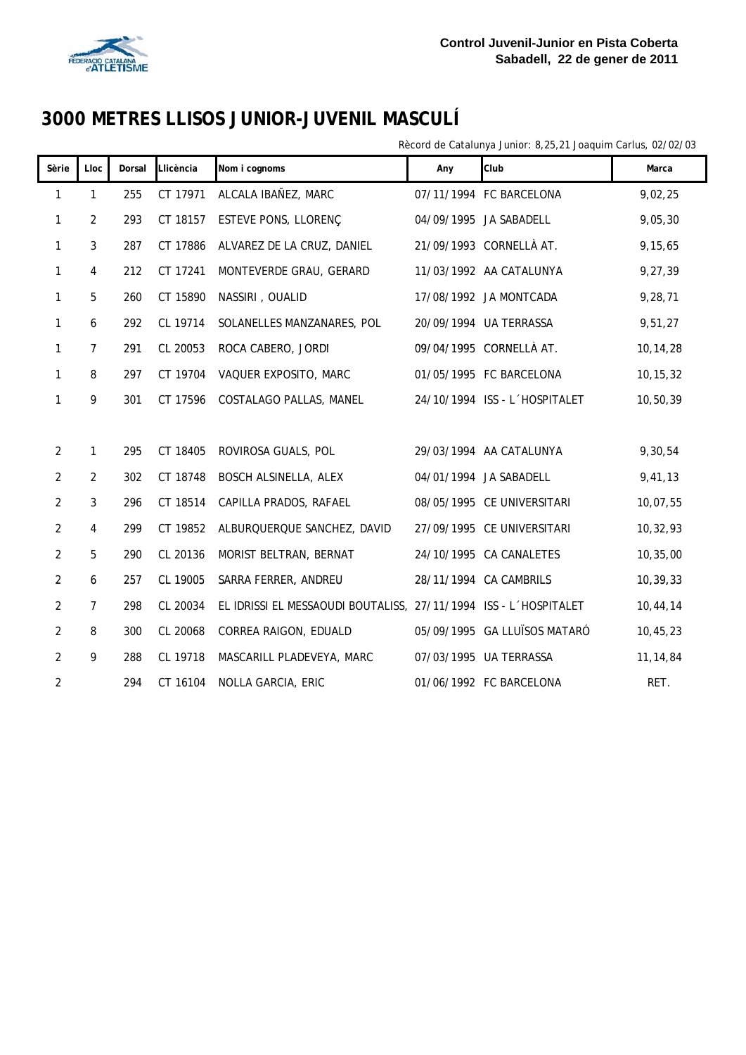

Rècord de Catalunya Junior: 8,25,21 Joaquim Carlus, 02/02/03

| Sèrie          | Lloc           | Dorsal | Llicència | Nom i cognoms                                                    | Any | Club                          | Marca      |
|----------------|----------------|--------|-----------|------------------------------------------------------------------|-----|-------------------------------|------------|
| 1              | 1              | 255    | CT 17971  | ALCALA IBAÑEZ, MARC                                              |     | 07/11/1994 FC BARCELONA       | 9,02,25    |
| 1              | $\overline{2}$ | 293    | CT 18157  | ESTEVE PONS, LLORENÇ                                             |     | 04/09/1995 JA SABADELL        | 9,05,30    |
| 1              | 3              | 287    | CT 17886  | ALVAREZ DE LA CRUZ, DANIEL                                       |     | 21/09/1993 CORNELLÀ AT.       | 9,15,65    |
| 1              | 4              | 212    | CT 17241  | MONTEVERDE GRAU, GERARD                                          |     | 11/03/1992 AA CATALUNYA       | 9,27,39    |
| 1              | 5              | 260    | CT 15890  | NASSIRI, OUALID                                                  |     | 17/08/1992 JA MONTCADA        | 9,28,71    |
| 1              | 6              | 292    | CL 19714  | SOLANELLES MANZANARES, POL                                       |     | 20/09/1994 UA TERRASSA        | 9,51,27    |
| 1              | $\overline{7}$ | 291    | CL 20053  | ROCA CABERO, JORDI                                               |     | 09/04/1995 CORNELLÀ AT.       | 10,14,28   |
| 1              | 8              | 297    | CT 19704  | VAQUER EXPOSITO, MARC                                            |     | 01/05/1995 FC BARCELONA       | 10, 15, 32 |
| 1              | 9              | 301    | CT 17596  | COSTALAGO PALLAS, MANEL                                          |     | 24/10/1994 ISS - L'HOSPITALET | 10,50,39   |
|                |                |        |           |                                                                  |     |                               |            |
| $\overline{2}$ | 1              | 295    | CT 18405  | ROVIROSA GUALS, POL                                              |     | 29/03/1994 AA CATALUNYA       | 9,30,54    |
| $\overline{c}$ | $\overline{2}$ | 302    | CT 18748  | BOSCH ALSINELLA, ALEX                                            |     | 04/01/1994 JA SABADELL        | 9,41,13    |
| $\overline{2}$ | 3              | 296    | CT 18514  | CAPILLA PRADOS, RAFAEL                                           |     | 08/05/1995 CE UNIVERSITARI    | 10,07,55   |
| 2              | 4              | 299    | CT 19852  | ALBURQUERQUE SANCHEZ, DAVID                                      |     | 27/09/1995 CE UNIVERSITARI    | 10,32,93   |
| $\overline{2}$ | 5              | 290    | CL 20136  | MORIST BELTRAN, BERNAT                                           |     | 24/10/1995 CA CANALETES       | 10, 35, 00 |
| $\overline{2}$ | 6              | 257    | CL 19005  | SARRA FERRER, ANDREU                                             |     | 28/11/1994 CA CAMBRILS        | 10,39,33   |
| $\overline{2}$ | $\overline{7}$ | 298    | CL 20034  | EL IDRISSI EL MESSAOUDI BOUTALISS, 27/11/1994 ISS - L'HOSPITALET |     |                               | 10,44,14   |
| $\overline{2}$ | 8              | 300    | CL 20068  | CORREA RAIGON, EDUALD                                            |     | 05/09/1995 GA LLUÏSOS MATARÓ  | 10, 45, 23 |
| $\overline{c}$ | 9              | 288    | CL 19718  | MASCARILL PLADEVEYA, MARC                                        |     | 07/03/1995 UA TERRASSA        | 11, 14, 84 |
| $\overline{2}$ |                | 294    | CT 16104  | NOLLA GARCIA, ERIC                                               |     | 01/06/1992 FC BARCELONA       | RET.       |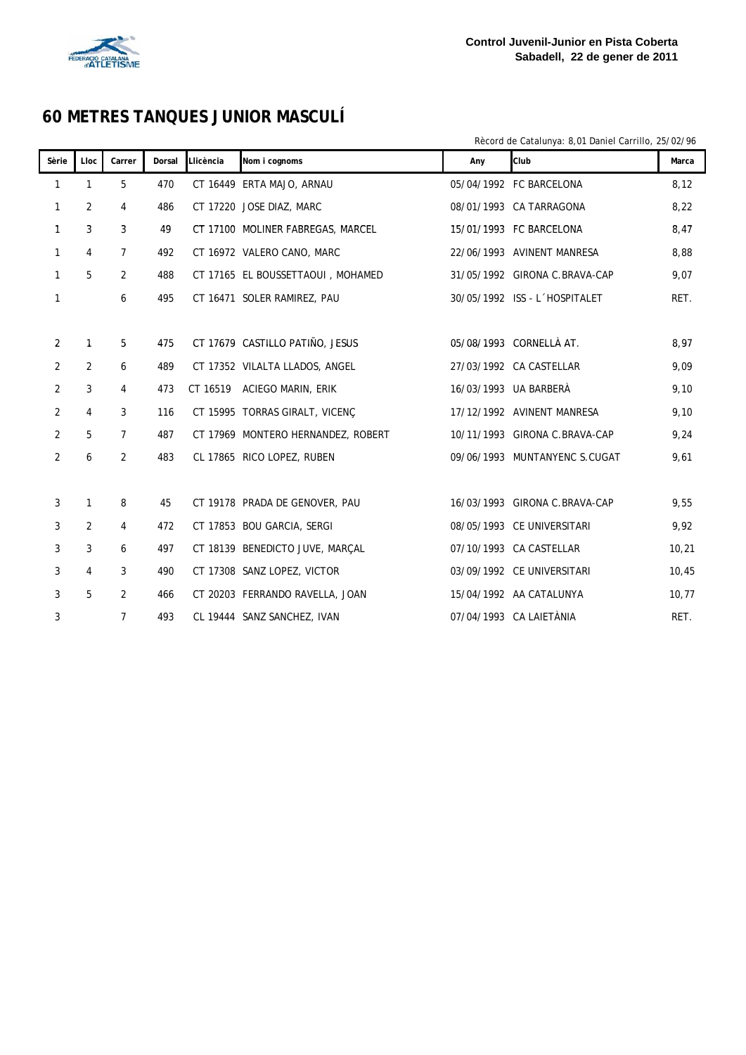

# **60 METRES TANQUES JUNIOR MASCULÍ**

Rècord de Catalunya: 8,01 Daniel Carrillo, 25/02/96

| Sèrie          | Lloc           | Carrer         | Dorsal | Llicència | Nom i cognoms                      | Any | Club                          | Marca |
|----------------|----------------|----------------|--------|-----------|------------------------------------|-----|-------------------------------|-------|
| 1              | 1              | 5              | 470    |           | CT 16449 ERTA MAJO, ARNAU          |     | 05/04/1992 FC BARCELONA       | 8,12  |
| 1              | 2              | 4              | 486    |           | CT 17220 JOSE DIAZ, MARC           |     | 08/01/1993 CA TARRAGONA       | 8,22  |
| 1              | 3              | 3              | 49     |           | CT 17100 MOLINER FABREGAS, MARCEL  |     | 15/01/1993 FC BARCELONA       | 8,47  |
| $\mathbf{1}$   | 4              | $\overline{7}$ | 492    |           | CT 16972 VALERO CANO, MARC         |     | 22/06/1993 AVINENT MANRESA    | 8,88  |
| $\mathbf{1}$   | 5              | $\overline{2}$ | 488    |           | CT 17165 EL BOUSSETTAOUI, MOHAMED  |     | 31/05/1992 GIRONA C.BRAVA-CAP | 9,07  |
| 1              |                | 6              | 495    |           | CT 16471 SOLER RAMIREZ, PAU        |     | 30/05/1992 ISS - L'HOSPITALET | RET.  |
|                |                |                |        |           |                                    |     |                               |       |
| 2              | 1              | 5              | 475    |           | CT 17679 CASTILLO PATIÑO, JESUS    |     | 05/08/1993 CORNELLÀ AT.       | 8,97  |
| 2              | $\overline{2}$ | 6              | 489    |           | CT 17352 VILALTA LLADOS, ANGEL     |     | 27/03/1992 CA CASTELLAR       | 9,09  |
| $\overline{2}$ | 3              | $\overline{4}$ | 473    | CT 16519  | ACIEGO MARIN, ERIK                 |     | 16/03/1993 UA BARBERÀ         | 9,10  |
| $\overline{2}$ | 4              | 3              | 116    |           | CT 15995 TORRAS GIRALT, VICENÇ     |     | 17/12/1992 AVINENT MANRESA    | 9,10  |
| $\overline{2}$ | 5              | $\overline{7}$ | 487    |           | CT 17969 MONTERO HERNANDEZ, ROBERT |     | 10/11/1993 GIRONA C.BRAVA-CAP | 9,24  |
| $\overline{2}$ | 6              | $\overline{2}$ | 483    |           | CL 17865 RICO LOPEZ, RUBEN         |     | 09/06/1993 MUNTANYENC S.CUGAT | 9,61  |
|                |                |                |        |           |                                    |     |                               |       |
| 3              | $\mathbf{1}$   | 8              | 45     |           | CT 19178 PRADA DE GENOVER, PAU     |     | 16/03/1993 GIRONA C.BRAVA-CAP | 9,55  |
| 3              | $\overline{2}$ | $\overline{4}$ | 472    |           | CT 17853 BOU GARCIA, SERGI         |     | 08/05/1993 CE UNIVERSITARI    | 9,92  |
| 3              | 3              | 6              | 497    |           | CT 18139 BENEDICTO JUVE, MARCAL    |     | 07/10/1993 CA CASTELLAR       | 10,21 |
| 3              | $\overline{4}$ | 3              | 490    |           | CT 17308 SANZ LOPEZ, VICTOR        |     | 03/09/1992 CE UNIVERSITARI    | 10,45 |
| 3              | 5              | 2              | 466    |           | CT 20203 FERRANDO RAVELLA, JOAN    |     | 15/04/1992 AA CATALUNYA       | 10,77 |
| 3              |                | $\overline{7}$ | 493    |           | CL 19444 SANZ SANCHEZ, IVAN        |     | 07/04/1993 CA LAIETÀNIA       | RET.  |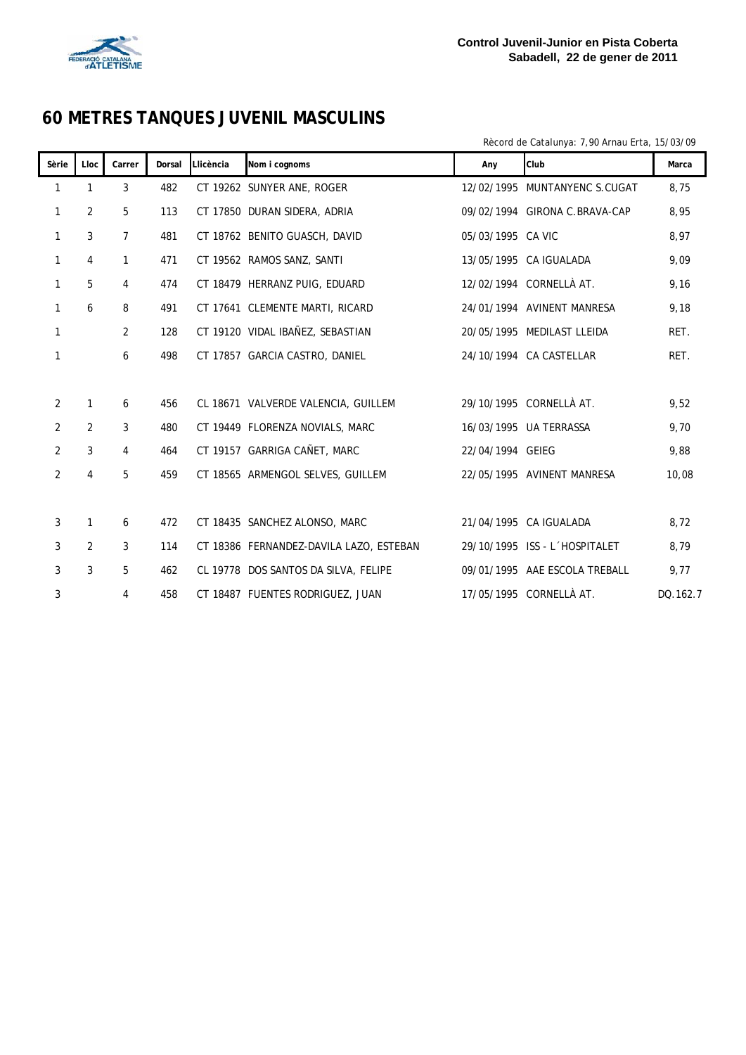

#### **60 METRES TANQUES JUVENIL MASCULINS**

Rècord de Catalunya: 7,90 Arnau Erta, 15/03/09

| Sèrie          | Lloc | Carrer         | Dorsal | Llicència | Nom i cognoms                           | Any               | Club                          | Marca    |
|----------------|------|----------------|--------|-----------|-----------------------------------------|-------------------|-------------------------------|----------|
| 1              | 1    | 3              | 482    |           | CT 19262 SUNYER ANE, ROGER              |                   | 12/02/1995 MUNTANYENC S.CUGAT | 8.75     |
| 1              | 2    | 5              | 113    |           | CT 17850 DURAN SIDERA, ADRIA            |                   | 09/02/1994 GIRONA C.BRAVA-CAP | 8,95     |
| 1              | 3    | $\overline{7}$ | 481    |           | CT 18762 BENITO GUASCH, DAVID           | 05/03/1995 CA VIC |                               | 8,97     |
| 1              | 4    | $\mathbf{1}$   | 471    |           | CT 19562 RAMOS SANZ, SANTI              |                   | 13/05/1995 CA IGUALADA        | 9,09     |
| 1              | 5    | 4              | 474    |           | CT 18479 HERRANZ PUIG, EDUARD           |                   | 12/02/1994 CORNELLÀ AT.       | 9,16     |
| 1              | 6    | 8              | 491    |           | CT 17641 CLEMENTE MARTI, RICARD         |                   | 24/01/1994 AVINENT MANRESA    | 9,18     |
| $\mathbf{1}$   |      | 2              | 128    |           | CT 19120 VIDAL IBAÑEZ, SEBASTIAN        |                   | 20/05/1995 MEDILAST LLEIDA    | RET.     |
| 1              |      | 6              | 498    |           | CT 17857 GARCIA CASTRO, DANIEL          |                   | 24/10/1994 CA CASTELLAR       | RET.     |
|                |      |                |        |           |                                         |                   |                               |          |
| $\overline{2}$ | 1    | 6              | 456    |           | CL 18671 VALVERDE VALENCIA, GUILLEM     |                   | 29/10/1995 CORNELLÀ AT.       | 9,52     |
| $\overline{2}$ | 2    | 3              | 480    |           | CT 19449 FLORENZA NOVIALS, MARC         |                   | 16/03/1995 UA TERRASSA        | 9,70     |
| 2              | 3    | 4              | 464    |           | CT 19157 GARRIGA CAÑET, MARC            | 22/04/1994 GEIEG  |                               | 9,88     |
| 2              | 4    | 5              | 459    |           | CT 18565 ARMENGOL SELVES, GUILLEM       |                   | 22/05/1995 AVINENT MANRESA    | 10,08    |
|                |      |                |        |           |                                         |                   |                               |          |
| 3              | 1    | 6              | 472    |           | CT 18435 SANCHEZ ALONSO, MARC           |                   | 21/04/1995 CA IGUALADA        | 8,72     |
| 3              | 2    | 3              | 114    |           | CT 18386 FERNANDEZ-DAVILA LAZO, ESTEBAN |                   | 29/10/1995 ISS - L'HOSPITALET | 8,79     |
| 3              | 3    | 5              | 462    |           | CL 19778 DOS SANTOS DA SILVA, FELIPE    |                   | 09/01/1995 AAE ESCOLA TREBALL | 9,77     |
| 3              |      | 4              | 458    |           | CT 18487 FUENTES RODRIGUEZ, JUAN        |                   | 17/05/1995 CORNELLÀ AT.       | DQ.162.7 |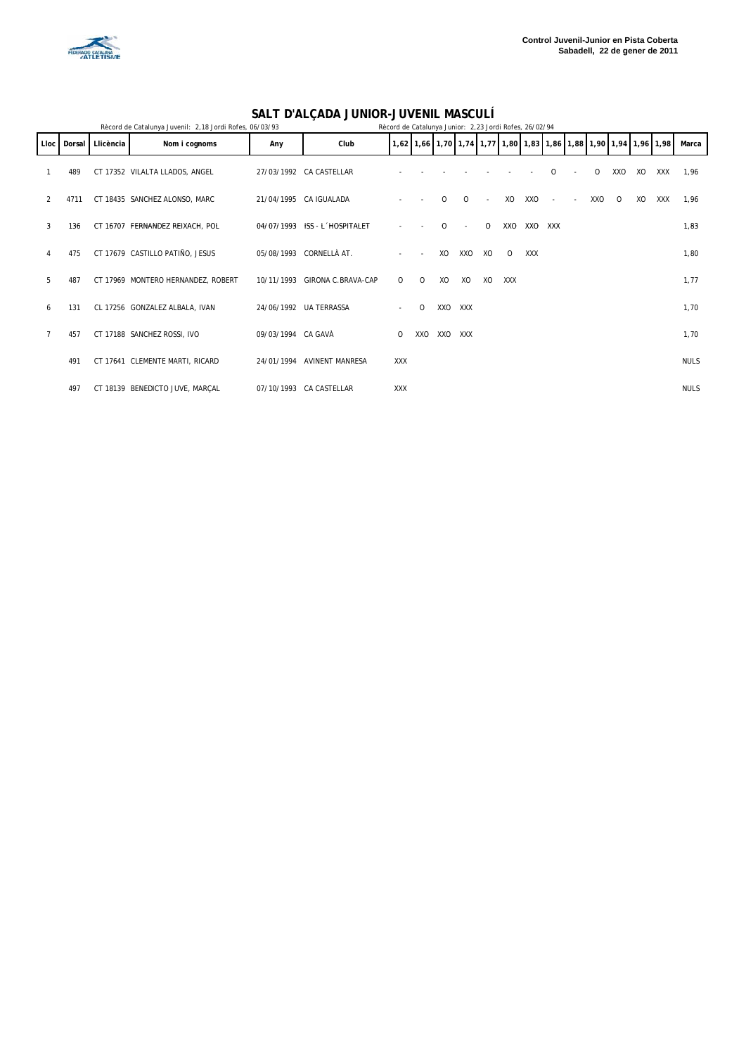

#### **SALT D'ALÇADA JUNIOR-JUVENIL MASCULÍ**

| Rècord de Catalunya Juvenil: 2,18 Jordi Rofes, 06/03/93<br>Rècord de Catalunya Junior: 2,23 Jordi Rofes, 26/02/94 |      |                  |                                    |                    |                               |            |          |          |            |              |            |            |            |     |          |    |                                                                  |             |  |
|-------------------------------------------------------------------------------------------------------------------|------|------------------|------------------------------------|--------------------|-------------------------------|------------|----------|----------|------------|--------------|------------|------------|------------|-----|----------|----|------------------------------------------------------------------|-------------|--|
| Lloc I                                                                                                            |      | Dorsal Llicència | Nom i cognoms                      | Any                | Club                          |            |          |          |            |              |            |            |            |     |          |    | 1,62 1,66 1,70 1,74 1,77 1,80 1,83 1,86 1,88 1,90 1,94 1,96 1,98 | Marca       |  |
|                                                                                                                   | 489  |                  | CT 17352 VILALTA LLADOS, ANGEL     |                    | 27/03/1992 CA CASTELLAR       |            |          |          |            |              |            |            | $\Omega$   | 0   | XXO      | XO | XXX                                                              | 1.96        |  |
| 2                                                                                                                 | 4711 |                  | CT 18435 SANCHEZ ALONSO, MARC      |                    | 21/04/1995 CA IGUALADA        |            |          | $\Omega$ | $\Omega$   | $\sim$       | XO         | XXO        |            | XXO | $\Omega$ | XO | <b>XXX</b>                                                       | 1,96        |  |
| 3                                                                                                                 | 136  |                  | CT 16707 FERNANDEZ REIXACH, POL    |                    | 04/07/1993 ISS - L'HOSPITALET |            |          | $\Omega$ |            | $\mathbf{O}$ | XXO        | XXO        | <b>XXX</b> |     |          |    |                                                                  | 1,83        |  |
| 4                                                                                                                 | 475  |                  | CT 17679 CASTILLO PATIÑO, JESUS    |                    | 05/08/1993 CORNELLÀ AT.       | ٠          | $\sim$   | XO       | XXO        | XO           | $\circ$    | <b>XXX</b> |            |     |          |    |                                                                  | 1,80        |  |
| 5                                                                                                                 | 487  |                  | CT 17969 MONTERO HERNANDEZ, ROBERT |                    | 10/11/1993 GIRONA C.BRAVA-CAP | $\circ$    | $\circ$  | XO       | XO         | XO           | <b>XXX</b> |            |            |     |          |    |                                                                  | 1,77        |  |
| 6                                                                                                                 | 131  |                  | CL 17256 GONZALEZ ALBALA, IVAN     |                    | 24/06/1992 UA TERRASSA        | ٠          | $\Omega$ | XXO      | <b>XXX</b> |              |            |            |            |     |          |    |                                                                  | 1,70        |  |
|                                                                                                                   | 457  |                  | CT 17188 SANCHEZ ROSSI, IVO        | 09/03/1994 CA GAVÀ |                               | 0          | XXO      | XXO      | XXX        |              |            |            |            |     |          |    |                                                                  | 1,70        |  |
|                                                                                                                   | 491  |                  | CT 17641 CLEMENTE MARTI, RICARD    | 24/01/1994         | <b>AVINENT MANRESA</b>        | XXX        |          |          |            |              |            |            |            |     |          |    |                                                                  | <b>NULS</b> |  |
|                                                                                                                   | 497  |                  | CT 18139 BENEDICTO JUVE, MARÇAL    |                    | 07/10/1993 CA CASTELLAR       | <b>XXX</b> |          |          |            |              |            |            |            |     |          |    |                                                                  | <b>NULS</b> |  |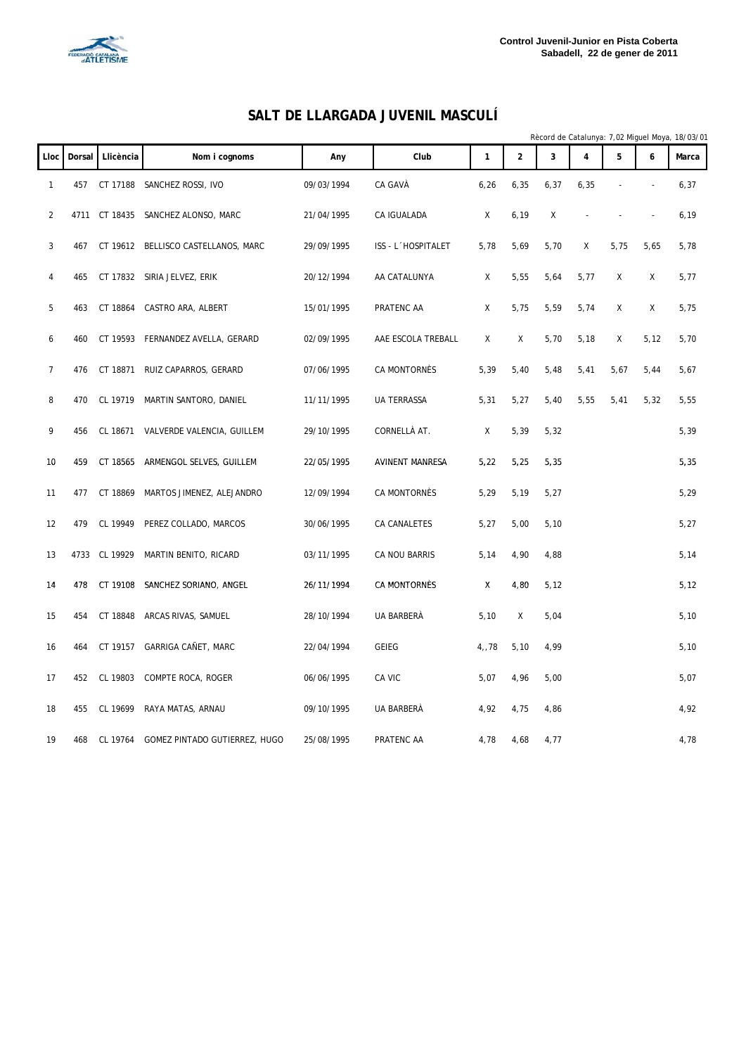

#### **SALT DE LLARGADA JUVENIL MASCULÍ**

|                |        |               |                                        |            |                        |              |                |       |      |      |      | Rècord de Catalunya: 7,02 Miguel Moya, 18/03/01 |
|----------------|--------|---------------|----------------------------------------|------------|------------------------|--------------|----------------|-------|------|------|------|-------------------------------------------------|
| Lloc           | Dorsal | Llicència     | Nom i cognoms                          | Any        | Club                   | $\mathbf{1}$ | $\overline{2}$ | 3     | 4    | 5    | 6    | Marca                                           |
| $\mathbf{1}$   | 457    |               | CT 17188 SANCHEZ ROSSI, IVO            | 09/03/1994 | CA GAVÀ                | 6,26         | 6,35           | 6, 37 | 6,35 |      |      | 6,37                                            |
| $\overline{2}$ |        |               | 4711 CT 18435 SANCHEZ ALONSO, MARC     | 21/04/1995 | CA IGUALADA            | Χ            | 6, 19          | Χ     |      |      |      | 6, 19                                           |
| 3              | 467    |               | CT 19612 BELLISCO CASTELLANOS, MARC    | 29/09/1995 | ISS - L'HOSPITALET     | 5,78         | 5,69           | 5,70  | Χ    | 5,75 | 5,65 | 5,78                                            |
| 4              | 465    |               | CT 17832 SIRIA JELVEZ, ERIK            | 20/12/1994 | AA CATALUNYA           | Χ            | 5,55           | 5,64  | 5,77 | Χ    | Χ    | 5,77                                            |
| 5              | 463    |               | CT 18864 CASTRO ARA, ALBERT            | 15/01/1995 | PRATENC AA             | X            | 5,75           | 5,59  | 5,74 | Χ    | X    | 5,75                                            |
| 6              | 460    |               | CT 19593 FERNANDEZ AVELLA, GERARD      | 02/09/1995 | AAE ESCOLA TREBALL     | Χ            | Χ              | 5,70  | 5,18 | Χ    | 5,12 | 5,70                                            |
| $\overline{7}$ | 476    | CT 18871      | RUIZ CAPARROS, GERARD                  | 07/06/1995 | CA MONTORNÈS           | 5,39         | 5,40           | 5,48  | 5,41 | 5,67 | 5,44 | 5,67                                            |
| 8              | 470    | CL 19719      | MARTIN SANTORO, DANIEL                 | 11/11/1995 | <b>UA TERRASSA</b>     | 5,31         | 5,27           | 5,40  | 5,55 | 5,41 | 5,32 | 5,55                                            |
| 9              | 456    |               | CL 18671 VALVERDE VALENCIA, GUILLEM    | 29/10/1995 | CORNELLÀ AT.           | Χ            | 5,39           | 5,32  |      |      |      | 5,39                                            |
| 10             | 459    | CT 18565      | ARMENGOL SELVES, GUILLEM               | 22/05/1995 | <b>AVINENT MANRESA</b> | 5,22         | 5,25           | 5,35  |      |      |      | 5,35                                            |
| 11             | 477    | CT 18869      | MARTOS JIMENEZ, ALEJANDRO              | 12/09/1994 | CA MONTORNÈS           | 5,29         | 5,19           | 5,27  |      |      |      | 5,29                                            |
| 12             | 479    | CL 19949      | PEREZ COLLADO, MARCOS                  | 30/06/1995 | CA CANALETES           | 5,27         | 5,00           | 5,10  |      |      |      | 5,27                                            |
| 13             |        | 4733 CL 19929 | MARTIN BENITO, RICARD                  | 03/11/1995 | CA NOU BARRIS          | 5,14         | 4,90           | 4,88  |      |      |      | 5,14                                            |
| 14             | 478    |               | CT 19108 SANCHEZ SORIANO, ANGEL        | 26/11/1994 | CA MONTORNÈS           | χ            | 4,80           | 5,12  |      |      |      | 5,12                                            |
| 15             | 454    | CT 18848      | ARCAS RIVAS, SAMUEL                    | 28/10/1994 | UA BARBERÀ             | 5,10         | X              | 5,04  |      |      |      | 5,10                                            |
| 16             | 464    |               | CT 19157 GARRIGA CAÑET, MARC           | 22/04/1994 | <b>GEIEG</b>           | 4,78         | 5,10           | 4,99  |      |      |      | 5,10                                            |
| 17             | 452    | CL 19803      | COMPTE ROCA, ROGER                     | 06/06/1995 | CA VIC                 | 5,07         | 4,96           | 5,00  |      |      |      | 5,07                                            |
| 18             | 455    | CL 19699      | RAYA MATAS, ARNAU                      | 09/10/1995 | UA BARBERÀ             | 4,92         | 4,75           | 4,86  |      |      |      | 4,92                                            |
| 19             | 468    |               | CL 19764 GOMEZ PINTADO GUTIERREZ, HUGO | 25/08/1995 | PRATENC AA             | 4,78         | 4,68           | 4,77  |      |      |      | 4,78                                            |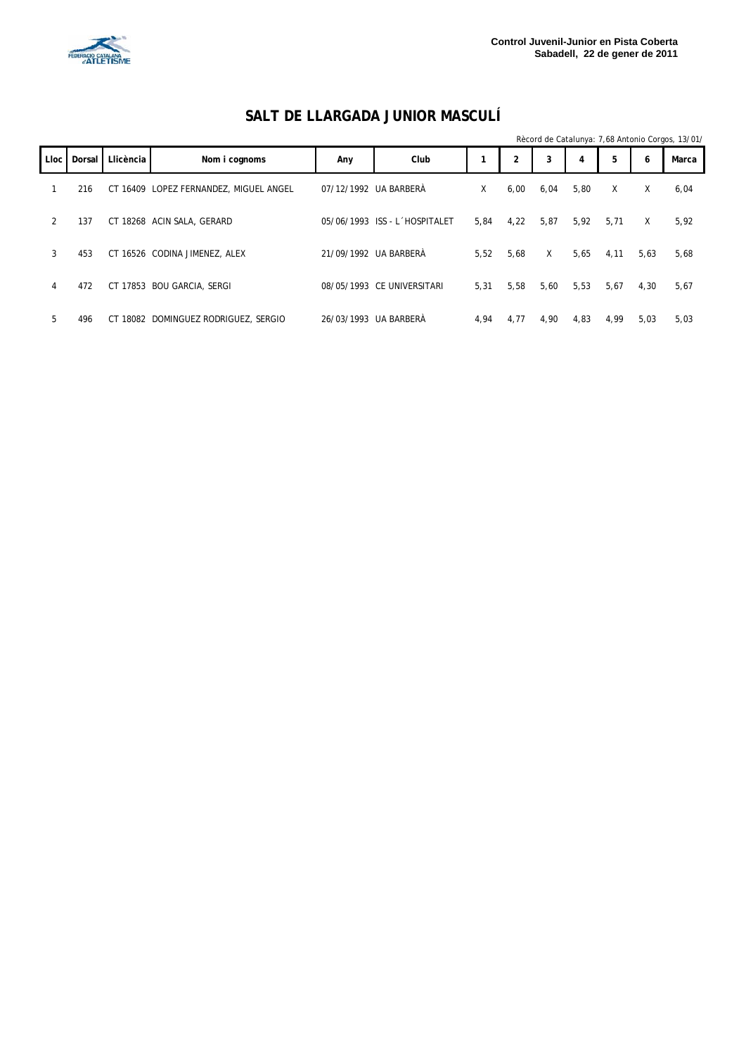

|  | SALT DE LLARGADA JUNIOR MASCULÍ |  |
|--|---------------------------------|--|
|--|---------------------------------|--|

|             |          |           |                                        |                       |                               |      |      |      |      |      |      | Rècord de Catalunya: 7,68 Antonio Corgos, 13/01/ |
|-------------|----------|-----------|----------------------------------------|-----------------------|-------------------------------|------|------|------|------|------|------|--------------------------------------------------|
| <b>Lloc</b> | Dorsal I | Llicència | Nom i cognoms                          | Any                   | Club                          |      | 2    | 3    | 4    | 5    | 6    | Marca                                            |
|             | 216      |           | CT 16409 LOPEZ FERNANDEZ, MIGUEL ANGEL | 07/12/1992 UA BARBERÀ |                               | X    | 6,00 | 6,04 | 5,80 | X    | X    | 6,04                                             |
| 2           | 137      |           | CT 18268 ACIN SALA, GERARD             |                       | 05/06/1993 ISS - L'HOSPITALET | 5.84 | 4,22 | 5,87 | 5,92 | 5,71 | X    | 5,92                                             |
| 3           | 453      |           | CT 16526 CODINA JIMENEZ, ALEX          |                       | 21/09/1992 UA BARBERÀ         | 5.52 | 5.68 | X    | 5.65 | 4,11 | 5,63 | 5,68                                             |
| 4           | 472      |           | CT 17853 BOU GARCIA, SERGI             |                       | 08/05/1993 CE UNIVERSITARI    | 5,31 | 5,58 | 5,60 | 5,53 | 5,67 | 4,30 | 5,67                                             |
| 5           | 496      | СT        | 18082 DOMINGUEZ RODRIGUEZ, SERGIO      |                       | 26/03/1993 UA BARBERA         | 4,94 | 4,77 | 4,90 | 4,83 | 4,99 | 5,03 | 5,03                                             |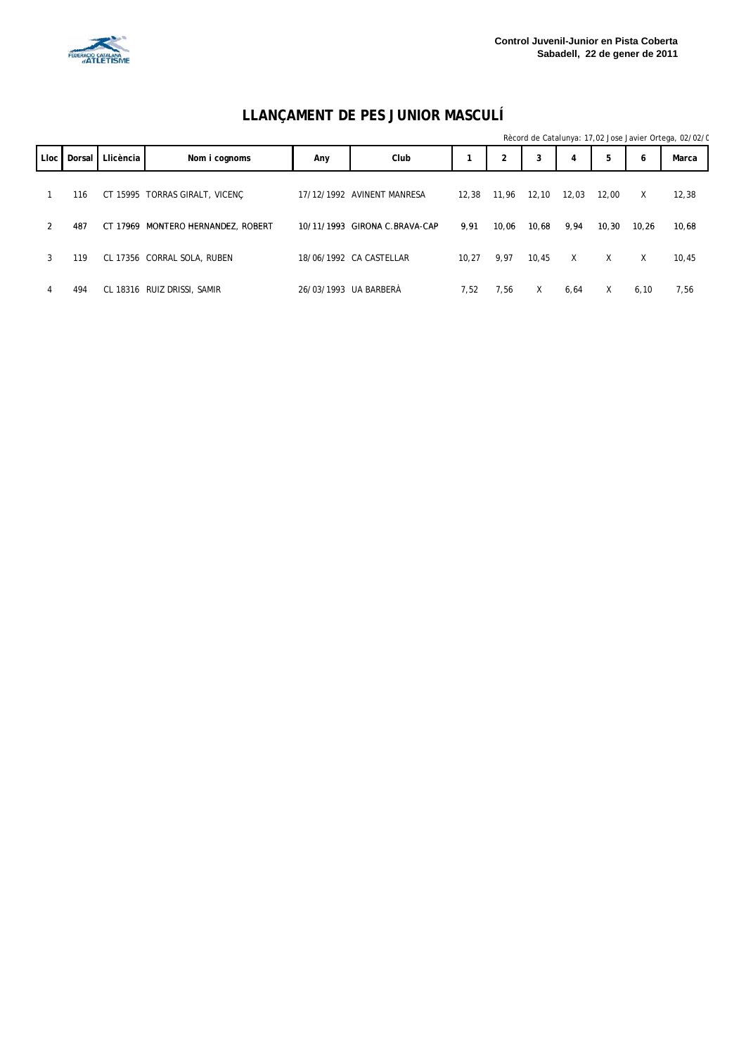

#### **LLANÇAMENT DE PES JUNIOR MASCULÍ**

|      |        |           |                                    |     |                               |       |                |       |       |        |       | Rècord de Catalunya: 17,02 Jose Javier Ortega, 02/02/0 |
|------|--------|-----------|------------------------------------|-----|-------------------------------|-------|----------------|-------|-------|--------|-------|--------------------------------------------------------|
| Lloc | Dorsal | Llicència | Nom i cognoms                      | Any | Club                          |       | $\overline{2}$ | 3     | 4     | 5      | 6     | Marca                                                  |
|      | 116    |           | CT 15995 TORRAS GIRALT, VICENC     |     | 17/12/1992 AVINENT MANRESA    | 12.38 | 11,96          | 12,10 | 12,03 | 12.00  | Χ     | 12,38                                                  |
| 2    | 487    |           | CT 17969 MONTERO HERNANDEZ, ROBERT |     | 10/11/1993 GIRONA C.BRAVA-CAP | 9,91  | 10,06          | 10,68 | 9,94  | 10, 30 | 10,26 | 10,68                                                  |
| 3    | 119    |           | CL 17356 CORRAL SOLA, RUBEN        |     | 18/06/1992 CA CASTELLAR       | 10.27 | 9,97           | 10.45 | X     | X      | Χ     | 10,45                                                  |
| 4    | 494    |           | CL 18316 RUIZ DRISSI, SAMIR        |     | 26/03/1993 UA BARBERÀ         | 7,52  | 7,56           | X     | 6,64  | X      | 6, 10 | 7,56                                                   |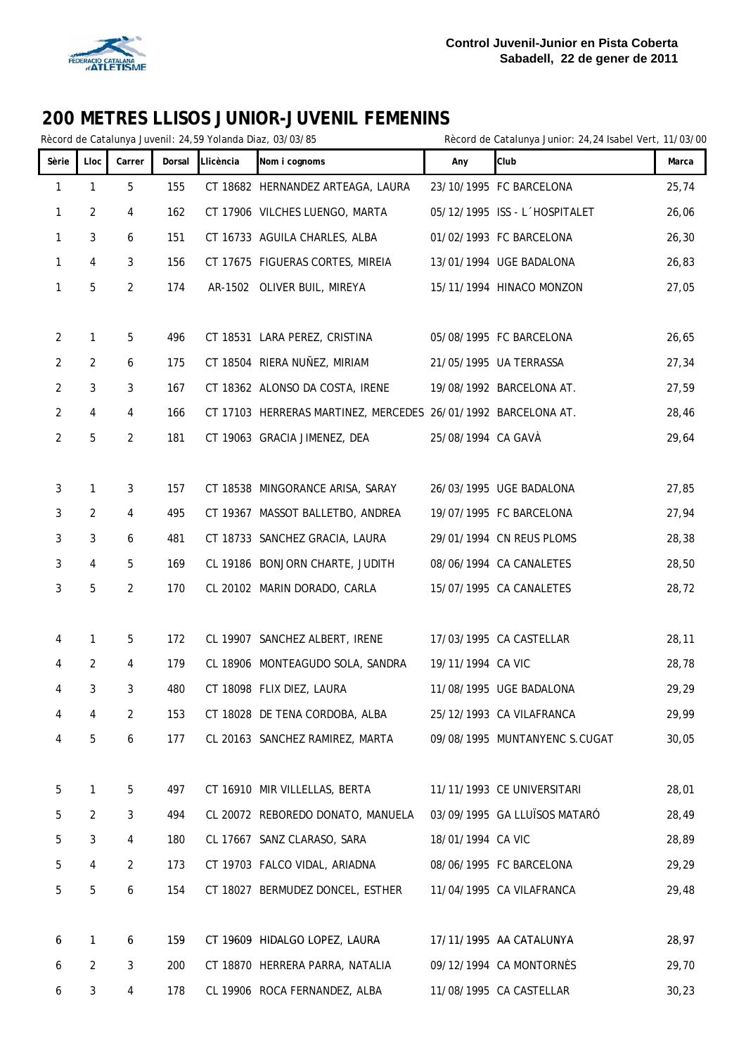

|                |                |                |        |           | ZOO INL I INLJ LLIJOJ JONION-JOVLINIL I LINLININJ<br>Rècord de Catalunya Juvenil: 24,59 Yolanda Diaz, 03/03/85 |                    | Rècord de Catalunya Junior: 24,24 Isabel Vert, 11/03/00 |       |
|----------------|----------------|----------------|--------|-----------|----------------------------------------------------------------------------------------------------------------|--------------------|---------------------------------------------------------|-------|
| Sèrie          | Lloc           | Carrer         | Dorsal | Llicència | Nom i cognoms                                                                                                  | Any                | Club                                                    | Marca |
| 1              | 1              | 5              | 155    |           | CT 18682 HERNANDEZ ARTEAGA, LAURA                                                                              |                    | 23/10/1995 FC BARCELONA                                 | 25,74 |
| 1              | 2              | 4              | 162    |           | CT 17906 VILCHES LUENGO, MARTA                                                                                 |                    | 05/12/1995 ISS - L'HOSPITALET                           | 26,06 |
| 1              | 3              | 6              | 151    |           | CT 16733 AGUILA CHARLES, ALBA                                                                                  |                    | 01/02/1993 FC BARCELONA                                 | 26,30 |
| 1              | 4              | 3              | 156    |           | CT 17675 FIGUERAS CORTES, MIREIA                                                                               |                    | 13/01/1994 UGE BADALONA                                 | 26,83 |
| 1              | 5              | $\overline{2}$ | 174    |           | AR-1502 OLIVER BUIL, MIREYA                                                                                    |                    | 15/11/1994 HINACO MONZON                                | 27,05 |
|                |                |                |        |           |                                                                                                                |                    |                                                         |       |
| $\overline{2}$ | 1              | 5              | 496    |           | CT 18531 LARA PEREZ, CRISTINA                                                                                  |                    | 05/08/1995 FC BARCELONA                                 | 26,65 |
| 2              | $\overline{2}$ | 6              | 175    |           | CT 18504 RIERA NUÑEZ, MIRIAM                                                                                   |                    | 21/05/1995 UA TERRASSA                                  | 27,34 |
| 2              | 3              | 3              | 167    |           | CT 18362 ALONSO DA COSTA, IRENE                                                                                |                    | 19/08/1992 BARCELONA AT.                                | 27,59 |
| $\overline{2}$ | 4              | 4              | 166    |           | CT 17103 HERRERAS MARTINEZ, MERCEDES 26/01/1992 BARCELONA AT.                                                  |                    |                                                         | 28,46 |
| $\overline{c}$ | 5              | 2              | 181    |           | CT 19063 GRACIA JIMENEZ, DEA                                                                                   | 25/08/1994 CA GAVÀ |                                                         | 29,64 |
|                |                |                |        |           |                                                                                                                |                    |                                                         |       |
| 3              | 1              | 3              | 157    |           | CT 18538 MINGORANCE ARISA, SARAY                                                                               |                    | 26/03/1995 UGE BADALONA                                 | 27,85 |
| 3              | 2              | 4              | 495    |           | CT 19367 MASSOT BALLETBO, ANDREA                                                                               |                    | 19/07/1995 FC BARCELONA                                 | 27,94 |
| 3              | 3              | 6              | 481    |           | CT 18733 SANCHEZ GRACIA, LAURA                                                                                 |                    | 29/01/1994 CN REUS PLOMS                                | 28,38 |
| 3              | 4              | 5              | 169    |           | CL 19186 BONJORN CHARTE, JUDITH                                                                                |                    | 08/06/1994 CA CANALETES                                 | 28,50 |
| 3              | 5              | 2              | 170    |           | CL 20102 MARIN DORADO, CARLA                                                                                   |                    | 15/07/1995 CA CANALETES                                 | 28,72 |
| 4              | 1              | 5              | 172    |           | CL 19907 SANCHEZ ALBERT, IRENE                                                                                 |                    | 17/03/1995 CA CASTELLAR                                 | 28,11 |
| 4              | 2              | 4              | 179    |           | CL 18906 MONTEAGUDO SOLA, SANDRA                                                                               | 19/11/1994 CA VIC  |                                                         | 28,78 |
| 4              | 3              | 3              | 480    |           | CT 18098 FLIX DIEZ, LAURA                                                                                      |                    | 11/08/1995 UGE BADALONA                                 | 29,29 |
| 4              | $\overline{4}$ | 2              | 153    |           | CT 18028 DE TENA CORDOBA, ALBA                                                                                 |                    | 25/12/1993 CA VILAFRANCA                                | 29,99 |
| 4              | 5              | 6              | 177    |           | CL 20163 SANCHEZ RAMIREZ, MARTA                                                                                |                    | 09/08/1995 MUNTANYENC S.CUGAT                           | 30,05 |
|                |                |                |        |           |                                                                                                                |                    |                                                         |       |
| 5              | $\mathbf{1}$   | 5              | 497    |           | CT 16910 MIR VILLELLAS, BERTA                                                                                  |                    | 11/11/1993 CE UNIVERSITARI                              | 28,01 |
| 5              | $\overline{2}$ | 3              | 494    |           | CL 20072 REBOREDO DONATO, MANUELA                                                                              |                    | 03/09/1995 GA LLUÏSOS MATARÓ                            | 28,49 |
| 5              | 3              | 4              | 180    |           | CL 17667 SANZ CLARASO, SARA                                                                                    | 18/01/1994 CA VIC  |                                                         | 28,89 |
| 5              | 4              | 2              | 173    |           | CT 19703 FALCO VIDAL, ARIADNA                                                                                  |                    | 08/06/1995 FC BARCELONA                                 | 29,29 |
| 5              | 5              | 6              | 154    |           | CT 18027 BERMUDEZ DONCEL, ESTHER                                                                               |                    | 11/04/1995 CA VILAFRANCA                                | 29,48 |
|                |                |                |        |           |                                                                                                                |                    |                                                         |       |
| 6              | 1              | 6              | 159    |           | CT 19609 HIDALGO LOPEZ, LAURA                                                                                  |                    | 17/11/1995 AA CATALUNYA                                 | 28,97 |
| 6              | $\overline{2}$ | 3              | 200    |           | CT 18870 HERRERA PARRA, NATALIA                                                                                |                    | 09/12/1994 CA MONTORNÈS                                 | 29,70 |
| 6              | 3              | 4              | 178    |           | CL 19906 ROCA FERNANDEZ, ALBA                                                                                  |                    | 11/08/1995 CA CASTELLAR                                 | 30,23 |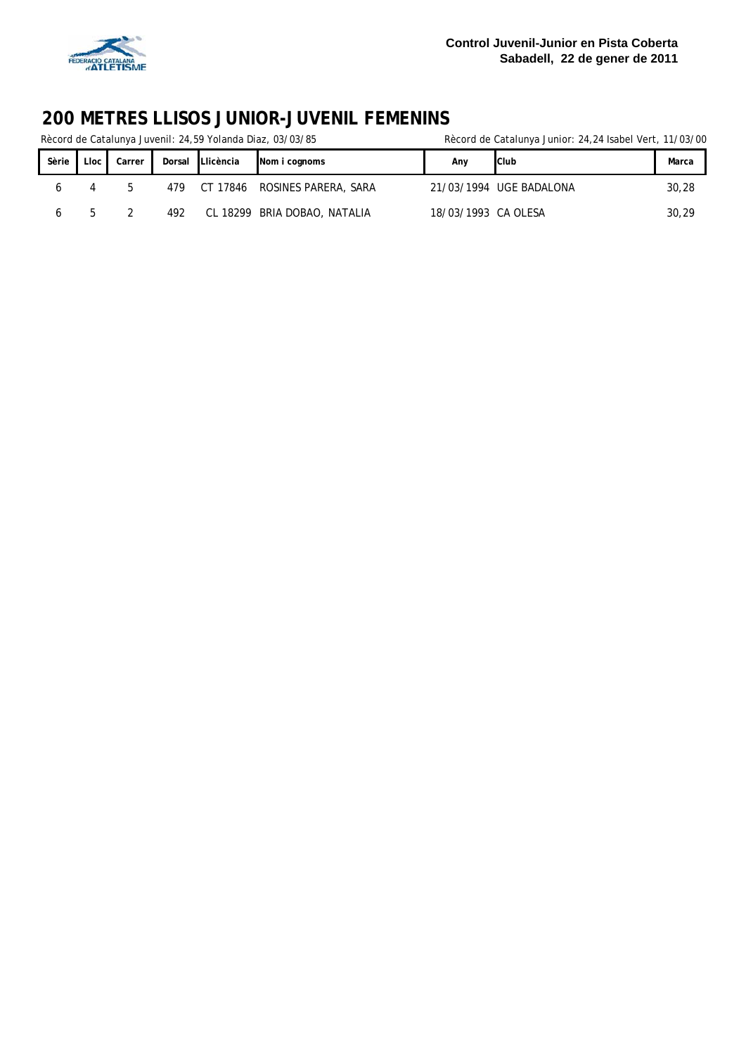

Rècord de Catalunya Juvenil: 24,59 Yolanda Diaz, 03/03/85 Rècord de Catalunya Junior: 24,24 Isabel Vert, 11/03/00

| Sèrie        | Lloc  | Carrer | Dorsal | Llicència | Nom i cognoms                | Anv                 | Club                    | Marca |
|--------------|-------|--------|--------|-----------|------------------------------|---------------------|-------------------------|-------|
|              |       | h      | 479    | CT 17846  | ROSINES PARERA, SARA         |                     | 21/03/1994 UGE BADALONA | 30,28 |
| <sub>0</sub> | $b -$ |        | 492    |           | CL 18299 BRIA DOBAO, NATALIA | 18/03/1993 CA OLESA |                         | 30,29 |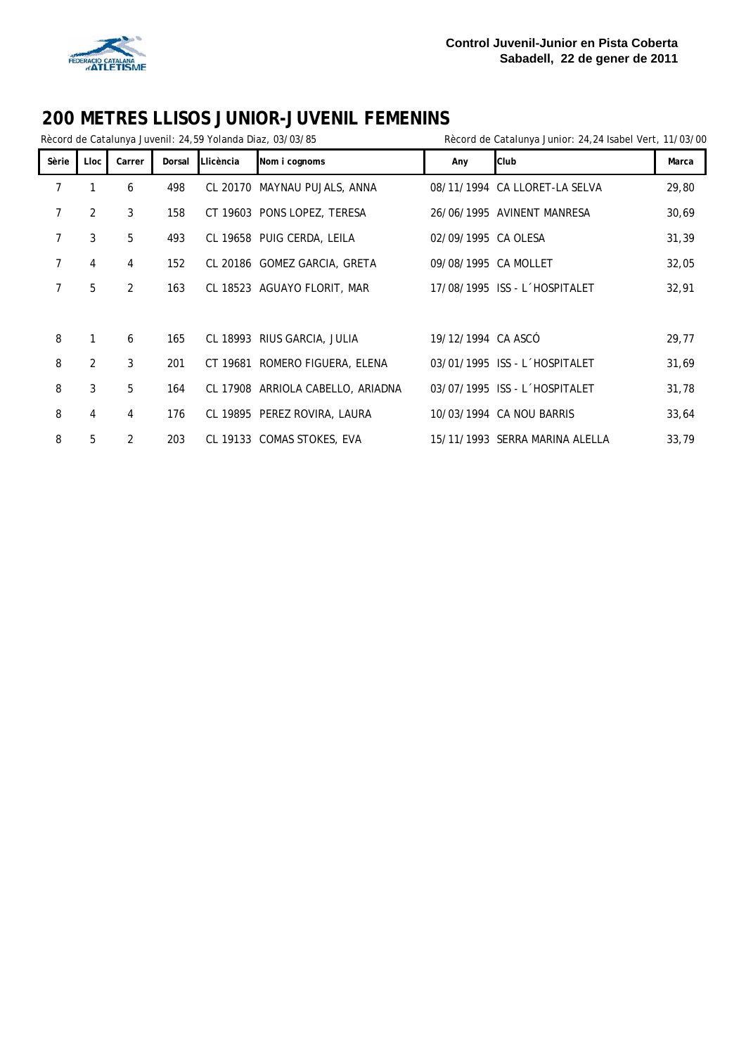

|                |                |        |        |           | Rècord de Catalunya Juvenil: 24,59 Yolanda Diaz, 03/03/85 |                      | Rècord de Catalunya Junior: 24,24 Isabel Vert, 11/03/00 |       |
|----------------|----------------|--------|--------|-----------|-----------------------------------------------------------|----------------------|---------------------------------------------------------|-------|
| Sèrie          | Lloc           | Carrer | Dorsal | Llicència | Nom i cognoms                                             | Any                  | Club                                                    | Marca |
| 7              | 1              | 6      | 498    |           | CL 20170 MAYNAU PUJALS, ANNA                              |                      | 08/11/1994 CA LLORET-LA SELVA                           | 29,80 |
| 7              | 2              | 3      | 158    |           | CT 19603 PONS LOPEZ, TERESA                               |                      | 26/06/1995 AVINENT MANRESA                              | 30,69 |
| 7              | 3              | 5      | 493    |           | CL 19658 PUIG CERDA, LEILA                                | 02/09/1995 CA OLESA  |                                                         | 31,39 |
| $\overline{7}$ | 4              | 4      | 152    |           | CL 20186 GOMEZ GARCIA, GRETA                              | 09/08/1995 CA MOLLET |                                                         | 32,05 |
| 7              | 5              | 2      | 163    |           | CL 18523 AGUAYO FLORIT, MAR                               |                      | 17/08/1995 ISS - L'HOSPITALET                           | 32,91 |
|                |                |        |        |           |                                                           |                      |                                                         |       |
| 8              | 1              | 6      | 165    |           | CL 18993 RIUS GARCIA, JULIA                               | 19/12/1994 CA ASCÓ   |                                                         | 29,77 |
| 8              | $\overline{2}$ | 3      | 201    |           | CT 19681 ROMERO FIGUERA, ELENA                            |                      | 03/01/1995 ISS - L'HOSPITALET                           | 31,69 |
| 8              | 3              | 5      | 164    |           | CL 17908 ARRIOLA CABELLO, ARIADNA                         |                      | 03/07/1995 ISS - L'HOSPITALET                           | 31,78 |
| 8              | $\overline{4}$ | 4      | 176    |           | CL 19895 PEREZ ROVIRA, LAURA                              |                      | 10/03/1994 CA NOU BARRIS                                | 33,64 |
| 8              | 5              | 2      | 203    |           | CL 19133 COMAS STOKES, EVA                                |                      | 15/11/1993 SERRA MARINA ALELLA                          | 33,79 |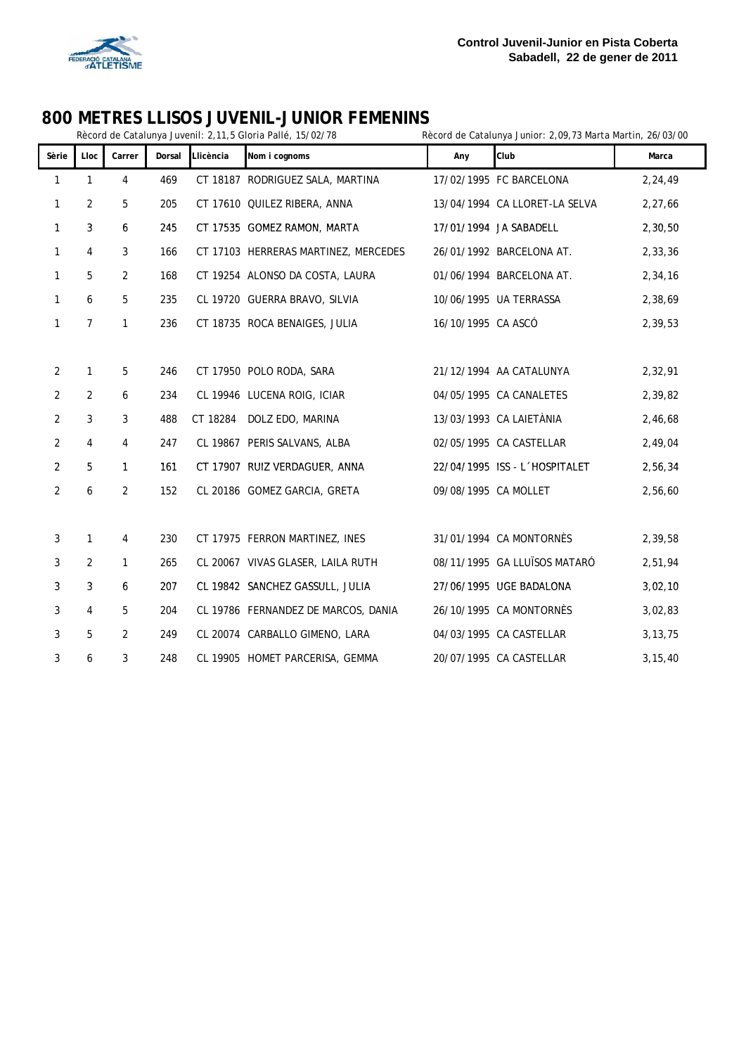

# **800 METRES LLISOS JUVENIL-JUNIOR FEMENINS**<br>Rècord de Catalunya Juvenil: 2,11,5 Gloria Pallé, 15/02/78

Rècord de Catalunya Junior: 2,09,73 Marta Martin, 26/03/00

| Sèrie          | Lloc           | Carrer         | Dorsal | Llicència | Nom i cognoms                        | Any                  | Club                          | Marca     |
|----------------|----------------|----------------|--------|-----------|--------------------------------------|----------------------|-------------------------------|-----------|
| $\mathbf{1}$   | $\mathbf{1}$   | $\overline{4}$ | 469    |           | CT 18187 RODRIGUEZ SALA, MARTINA     |                      | 17/02/1995 FC BARCELONA       | 2,24,49   |
| $\mathbf{1}$   | $\overline{2}$ | 5              | 205    |           | CT 17610 QUILEZ RIBERA, ANNA         |                      | 13/04/1994 CA LLORET-LA SELVA | 2,27,66   |
| $\mathbf{1}$   | 3              | 6              | 245    |           | CT 17535 GOMEZ RAMON, MARTA          |                      | 17/01/1994 JA SABADELL        | 2,30,50   |
| $\mathbf{1}$   | 4              | 3              | 166    |           | CT 17103 HERRERAS MARTINEZ, MERCEDES |                      | 26/01/1992 BARCELONA AT.      | 2,33,36   |
| $\mathbf{1}$   | 5              | $\overline{2}$ | 168    |           | CT 19254 ALONSO DA COSTA, LAURA      |                      | 01/06/1994 BARCELONA AT.      | 2,34,16   |
| $\mathbf{1}$   | 6              | 5              | 235    |           | CL 19720 GUERRA BRAVO, SILVIA        |                      | 10/06/1995 UA TERRASSA        | 2,38,69   |
| $\mathbf{1}$   | $\overline{7}$ | $\mathbf{1}$   | 236    |           | CT 18735 ROCA BENAIGES, JULIA        | 16/10/1995 CA ASCÓ   |                               | 2,39,53   |
|                |                |                |        |           |                                      |                      |                               |           |
| $\overline{2}$ | $\mathbf{1}$   | 5              | 246    |           | CT 17950 POLO RODA, SARA             |                      | 21/12/1994 AA CATALUNYA       | 2,32,91   |
| $\overline{2}$ | 2              | 6              | 234    |           | CL 19946 LUCENA ROIG, ICIAR          |                      | 04/05/1995 CA CANALETES       | 2,39,82   |
| $\overline{2}$ | 3              | 3              | 488    | CT 18284  | DOLZ EDO, MARINA                     |                      | 13/03/1993 CA LAIETÀNIA       | 2,46,68   |
| $\overline{2}$ | $\overline{4}$ | 4              | 247    |           | CL 19867 PERIS SALVANS, ALBA         |                      | 02/05/1995 CA CASTELLAR       | 2,49,04   |
| $\overline{2}$ | 5              | $\mathbf{1}$   | 161    |           | CT 17907 RUIZ VERDAGUER, ANNA        |                      | 22/04/1995 ISS - L'HOSPITALET | 2,56,34   |
| $\overline{2}$ | 6              | 2              | 152    |           | CL 20186 GOMEZ GARCIA, GRETA         | 09/08/1995 CA MOLLET |                               | 2,56,60   |
|                |                |                |        |           |                                      |                      |                               |           |
| 3              | $\mathbf{1}$   | $\overline{4}$ | 230    |           | CT 17975 FERRON MARTINEZ, INES       |                      | 31/01/1994 CA MONTORNÈS       | 2,39,58   |
| $\mathfrak{Z}$ | $\overline{2}$ | $\mathbf{1}$   | 265    |           | CL 20067 VIVAS GLASER, LAILA RUTH    |                      | 08/11/1995 GA LLUÏSOS MATARÓ  | 2,51,94   |
| 3              | 3              | 6              | 207    |           | CL 19842 SANCHEZ GASSULL, JULIA      |                      | 27/06/1995 UGE BADALONA       | 3,02,10   |
| 3              | 4              | 5              | 204    |           | CL 19786 FERNANDEZ DE MARCOS, DANIA  |                      | 26/10/1995 CA MONTORNÈS       | 3,02,83   |
| 3              | 5              | 2              | 249    |           | CL 20074 CARBALLO GIMENO, LARA       |                      | 04/03/1995 CA CASTELLAR       | 3, 13, 75 |
| 3              | 6              | 3              | 248    |           | CL 19905 HOMET PARCERISA, GEMMA      |                      | 20/07/1995 CA CASTELLAR       | 3, 15, 40 |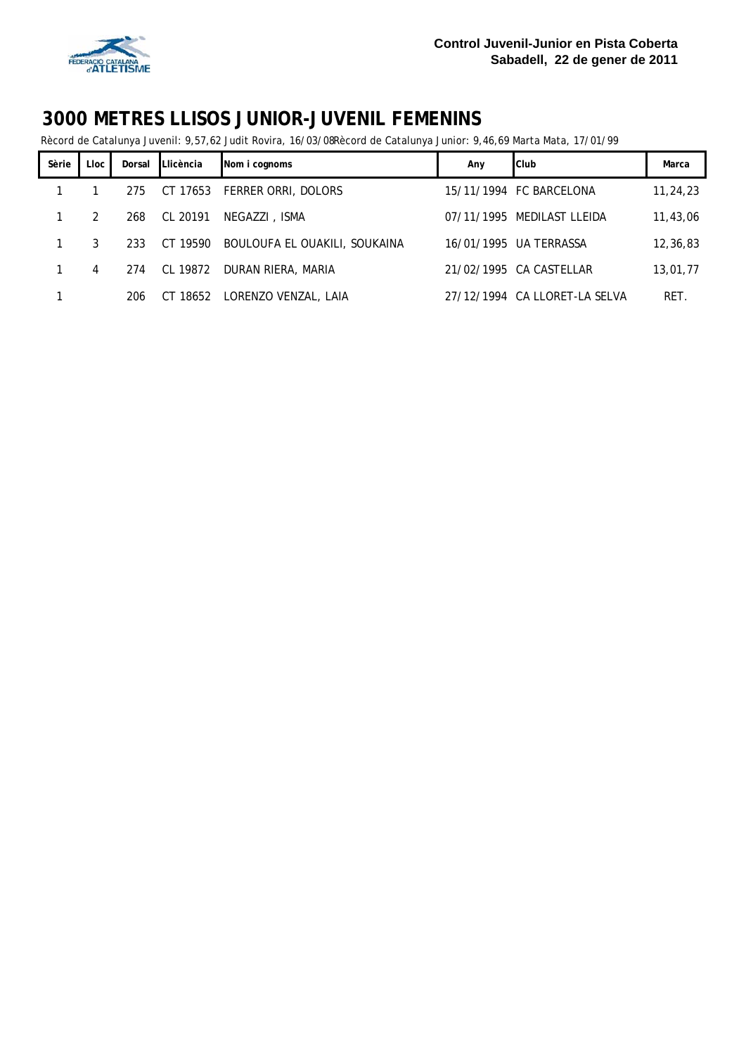

Rècord de Catalunya Juvenil: 9,57,62 Judit Rovira, 16/03/08Rècord de Catalunya Junior: 9,46,69 Marta Mata, 17/01/99

| Sèrie | Lloc l | Dorsal | Llicència | Nom i cognoms                 | Any | Club                          | Marca    |
|-------|--------|--------|-----------|-------------------------------|-----|-------------------------------|----------|
|       |        | 275    |           | CT 17653 FERRER ORRI, DOLORS  |     | 15/11/1994 FC BARCELONA       | 11,24,23 |
| 1     | 2      | 268    | CL 20191  | NEGAZZI, ISMA                 |     | 07/11/1995 MEDILAST LLEIDA    | 11,43,06 |
| 1     | 3      | 233    | CT 19590  | BOULOUFA EL OUAKILI, SOUKAINA |     | 16/01/1995 UA TERRASSA        | 12,36,83 |
|       | 4      | 274    | CL 19872  | DURAN RIERA, MARIA            |     | 21/02/1995 CA CASTELLAR       | 13,01,77 |
|       |        | 206    |           | CT 18652 LORENZO VENZAL, LAIA |     | 27/12/1994 CA LLORET-LA SELVA | RET.     |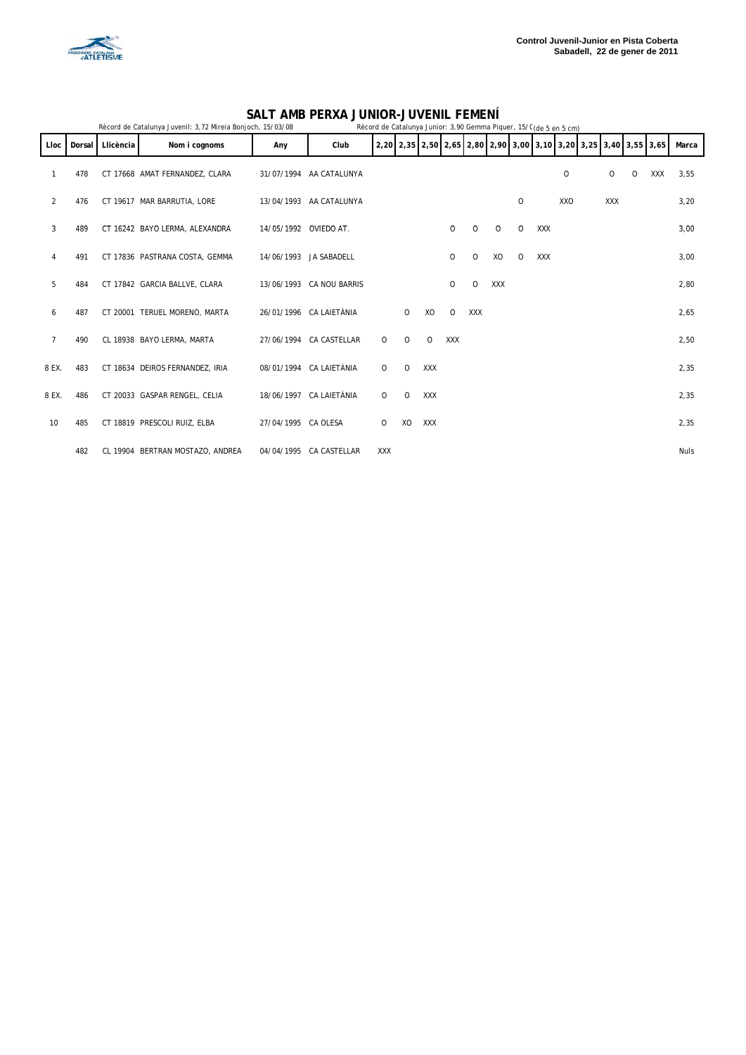

#### **SALT AMB PERXA JUNIOR-JUVENIL FEMENÍ**

|                |        |           | Rècord de Catalunya Juvenil: 3,72 Mireia Bonjoch, 15/03/08 |                       | Rècord de Catalunya Junior: 3,90 Gemma Piquer, 15/C (de 5 en 5 cm) |         |         |            |            |            |     |         |            |         |            |   |                                                                  |             |  |
|----------------|--------|-----------|------------------------------------------------------------|-----------------------|--------------------------------------------------------------------|---------|---------|------------|------------|------------|-----|---------|------------|---------|------------|---|------------------------------------------------------------------|-------------|--|
| Lloc           | Dorsal | Llicència | Nom i cognoms                                              | Any                   | Club                                                               |         |         |            |            |            |     |         |            |         |            |   | 2,20 2,35 2,50 2,65 2,80 2,90 3,00 3,10 3,20 3,25 3,40 3,55 3,65 | Marca       |  |
|                | 478    |           | CT 17668 AMAT FERNANDEZ, CLARA                             |                       | 31/07/1994 AA CATALUNYA                                            |         |         |            |            |            |     |         |            | $\circ$ | 0          | 0 | XXX                                                              | 3,55        |  |
| 2              | 476    |           | CT 19617 MAR BARRUTIA, LORE                                |                       | 13/04/1993 AA CATALUNYA                                            |         |         |            |            |            |     | 0       |            | XXO     | <b>XXX</b> |   |                                                                  | 3,20        |  |
| 3              | 489    |           | CT 16242 BAYO LERMA, ALEXANDRA                             | 14/05/1992 OVIEDO AT. |                                                                    |         |         |            | 0          | $\circ$    | 0   | 0       | XXX        |         |            |   |                                                                  | 3,00        |  |
| 4              | 491    |           | CT 17836 PASTRANA COSTA, GEMMA                             |                       | 14/06/1993 JA SABADELL                                             |         |         |            | 0          | 0          | XO  | $\circ$ | <b>XXX</b> |         |            |   |                                                                  | 3,00        |  |
| 5              | 484    |           | CT 17842 GARCIA BALLVE, CLARA                              |                       | 13/06/1993 CA NOU BARRIS                                           |         |         |            | 0          | 0          | XXX |         |            |         |            |   |                                                                  | 2,80        |  |
| 6              | 487    |           | CT 20001 TERUEL MORENO, MARTA                              |                       | 26/01/1996 CA LAIETÀNIA                                            |         | $\circ$ | XO         | $\Omega$   | <b>XXX</b> |     |         |            |         |            |   |                                                                  | 2,65        |  |
| $\overline{7}$ | 490    |           | CL 18938 BAYO LERMA, MARTA                                 |                       | 27/06/1994 CA CASTELLAR                                            | 0       | $\circ$ | $\Omega$   | <b>XXX</b> |            |     |         |            |         |            |   |                                                                  | 2,50        |  |
| 8 EX.          | 483    |           | CT 18634 DEIROS FERNANDEZ, IRIA                            |                       | 08/01/1994 CA LAIETÀNIA                                            | 0       | $\circ$ | XXX        |            |            |     |         |            |         |            |   |                                                                  | 2,35        |  |
| 8 EX.          | 486    |           | CT 20033 GASPAR RENGEL, CELIA                              |                       | 18/06/1997 CA LAIETÀNIA                                            | $\circ$ | 0       | <b>XXX</b> |            |            |     |         |            |         |            |   |                                                                  | 2,35        |  |
| 10             | 485    |           | CT 18819 PRESCOLI RUIZ, ELBA                               | 27/04/1995 CA OLESA   |                                                                    | $\circ$ | XO      | <b>XXX</b> |            |            |     |         |            |         |            |   |                                                                  | 2,35        |  |
|                | 482    |           | CL 19904 BERTRAN MOSTAZO, ANDREA                           |                       | 04/04/1995 CA CASTELLAR                                            | XXX     |         |            |            |            |     |         |            |         |            |   |                                                                  | <b>Nuls</b> |  |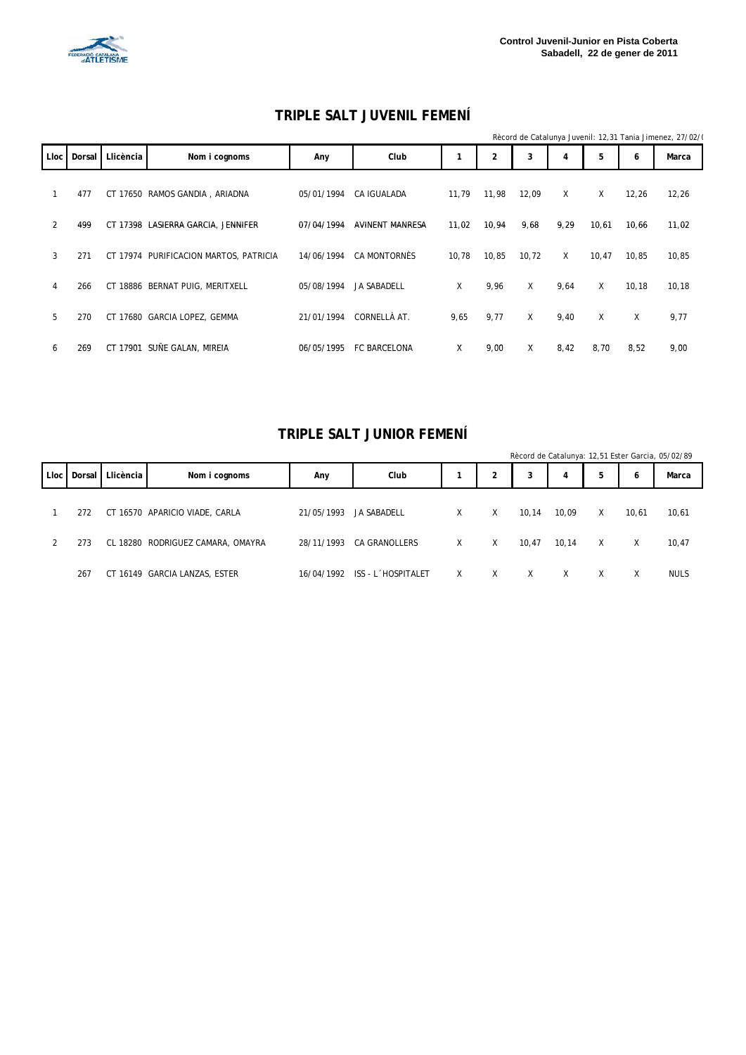

#### **TRIPLE SALT JUVENIL FEMENÍ**

|             |        |           |                                        |            |                    |       |       |       |      |       |       | Rècord de Catalunya Juvenil: 12,31 Tania Jimenez, 27/02/( |
|-------------|--------|-----------|----------------------------------------|------------|--------------------|-------|-------|-------|------|-------|-------|-----------------------------------------------------------|
| <b>Lloc</b> | Dorsal | Llicència | Nom i cognoms                          | Any        | Club               |       | 2     | 3     | 4    | 5     | 6     | Marca                                                     |
|             | 477    |           | CT 17650 RAMOS GANDIA, ARIADNA         | 05/01/1994 | CA IGUALADA        | 11.79 | 11.98 | 12,09 | X    | X     | 12,26 | 12,26                                                     |
| 2           | 499    |           | CT 17398 LASIERRA GARCIA, JENNIFER     | 07/04/1994 | AVINENT MANRESA    | 11,02 | 10,94 | 9,68  | 9,29 | 10,61 | 10.66 | 11,02                                                     |
| 3           | 271    |           | CT 17974 PURIFICACION MARTOS, PATRICIA | 14/06/1994 | CA MONTORNÈS       | 10,78 | 10,85 | 10,72 | X    | 10,47 | 10.85 | 10,85                                                     |
| 4           | 266    |           | CT 18886 BERNAT PUIG, MERITXELL        | 05/08/1994 | <b>JA SABADELL</b> | X     | 9,96  | X     | 9,64 | X     | 10,18 | 10, 18                                                    |
| 5           | 270    |           | CT 17680 GARCIA LOPEZ, GEMMA           | 21/01/1994 | CORNELLÀ AT.       | 9,65  | 9.77  | X     | 9,40 | X     | X     | 9,77                                                      |
| 6           | 269    |           | CT 17901 SUÑE GALAN, MIREIA            | 06/05/1995 | FC BARCELONA       | χ     | 9,00  | Χ     | 8,42 | 8,70  | 8,52  | 9,00                                                      |

#### **TRIPLE SALT JUNIOR FEMENÍ**

|             |     |                    |                                   |            |                    |   |   |       |       |   |       | Rècord de Catalunya: 12,51 Ester Garcia, 05/02/89 |
|-------------|-----|--------------------|-----------------------------------|------------|--------------------|---|---|-------|-------|---|-------|---------------------------------------------------|
| <b>Lloc</b> |     | Dorsal   Llicència | Nom i cognoms                     | Any        | Club               |   |   | 3     | 4     | 5 | 6     | Marca                                             |
|             | 272 |                    | CT 16570 APARICIO VIADE, CARLA    | 21/05/1993 | JA SABADELL        | X | X | 10,14 | 10,09 | X | 10,61 | 10,61                                             |
|             | 273 |                    | CL 18280 RODRIGUEZ CAMARA, OMAYRA | 28/11/1993 | CA GRANOLLERS      | X | X | 10,47 | 10.14 | X | X     | 10,47                                             |
|             | 267 |                    | CT 16149 GARCIA LANZAS, ESTER     | 16/04/1992 | ISS - L'HOSPITALET | X | X | X     | X     | X | X     | <b>NULS</b>                                       |